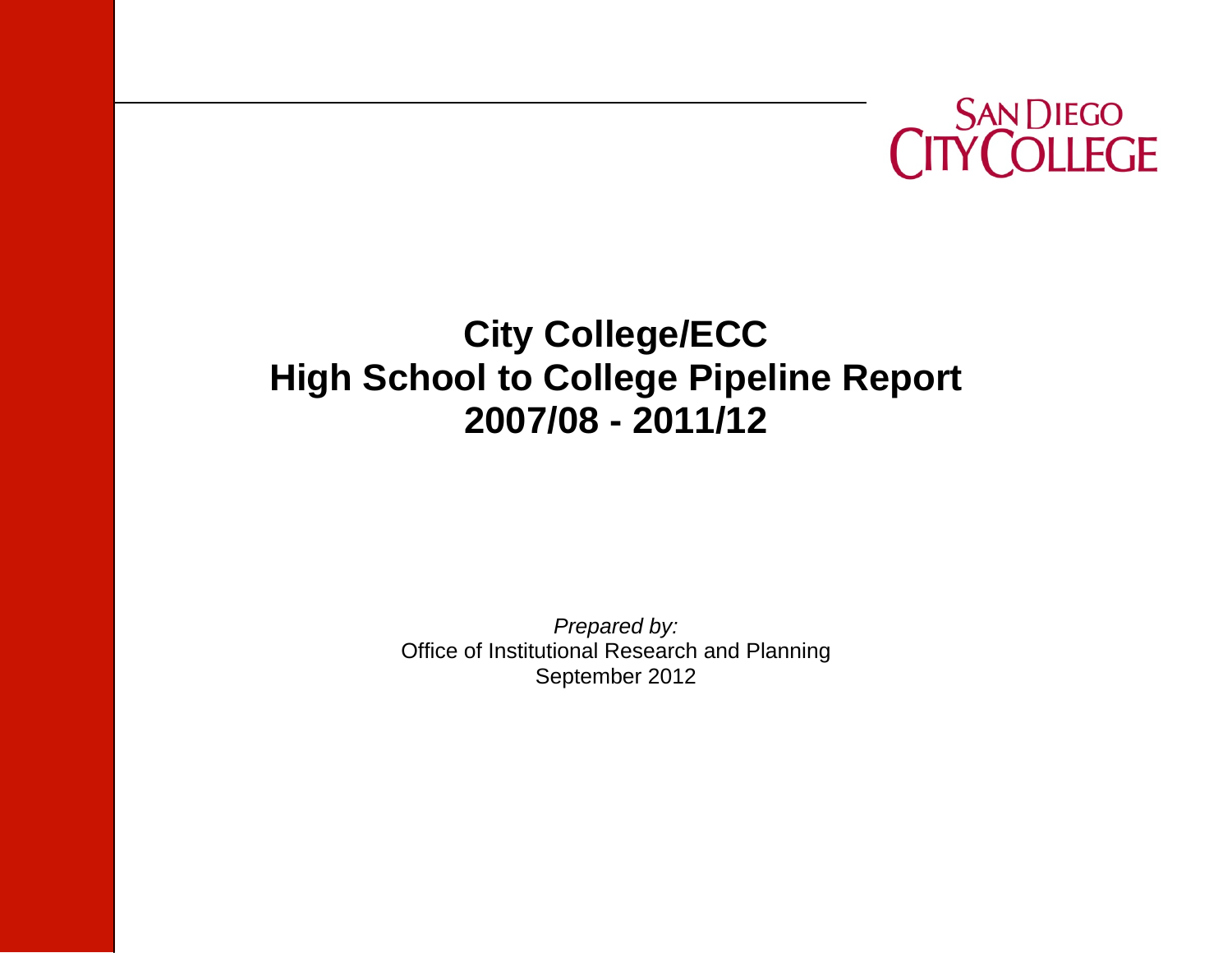

# **City College/ECC High School to College Pipeline Report 2007/08 - 2011/12**

*Prepared by:*  Office of Institutional Research and Planning September 2012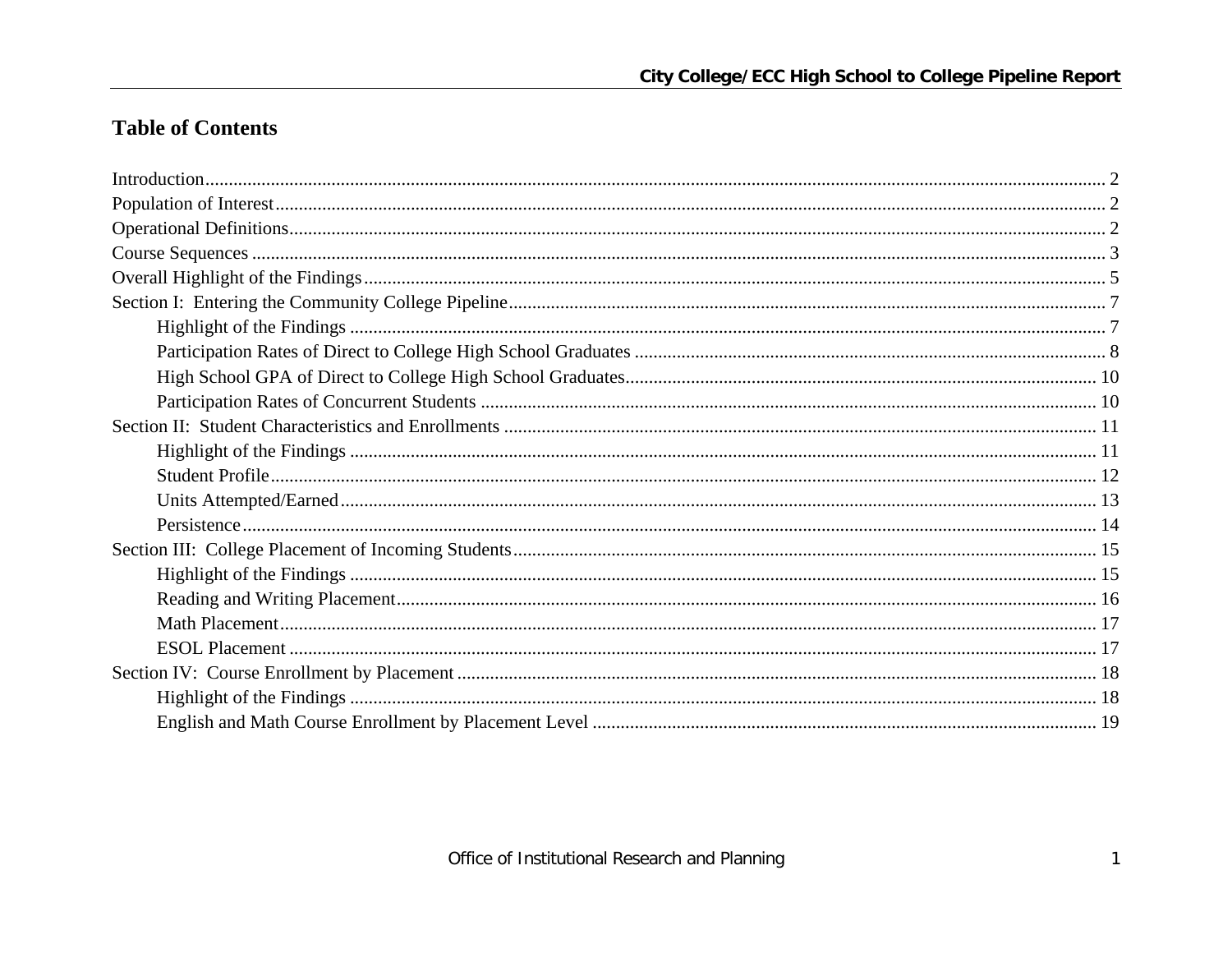## **Table of Contents**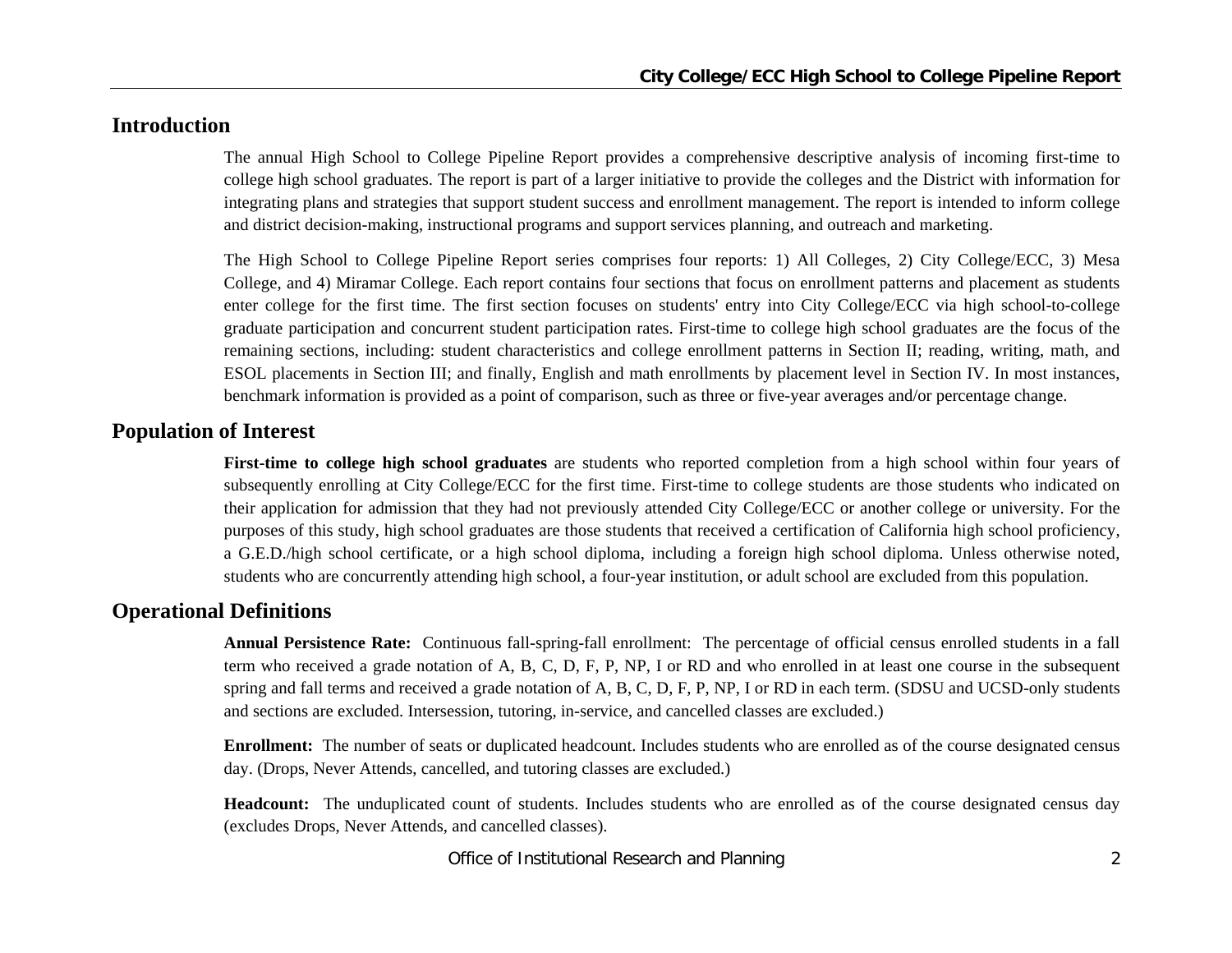## **Introduction**

The annual High School to College Pipeline Report provides a comprehensive descriptive analysis of incoming first-time to college high school graduates. The report is part of a larger initiative to provide the colleges and the District with information for integrating plans and strategies that support student success and enrollment management. The report is intended to inform college and district decision-making, instructional programs and support services planning, and outreach and marketing.

The High School to College Pipeline Report series comprises four reports: 1) All Colleges, 2) City College/ECC, 3) Mesa College, and 4) Miramar College. Each report contains four sections that focus on enrollment patterns and placement as students enter college for the first time. The first section focuses on students' entry into City College/ECC via high school-to-college graduate participation and concurrent student participation rates. First-time to college high school graduates are the focus of the remaining sections, including: student characteristics and college enrollment patterns in Section II; reading, writing, math, and ESOL placements in Section III; and finally, English and math enrollments by placement level in Section IV. In most instances, benchmark information is provided as a point of comparison, such as three or five-year averages and/or percentage change.

## **Population of Interest**

**First-time to college high school graduates** are students who reported completion from a high school within four years of subsequently enrolling at City College/ECC for the first time. First-time to college students are those students who indicated on their application for admission that they had not previously attended City College/ECC or another college or university. For the purposes of this study, high school graduates are those students that received a certification of California high school proficiency, a G.E.D./high school certificate, or a high school diploma, including a foreign high school diploma. Unless otherwise noted, students who are concurrently attending high school, a four-year institution, or adult school are excluded from this population.

## **Operational Definitions**

**Annual Persistence Rate:** Continuous fall-spring-fall enrollment: The percentage of official census enrolled students in a fall term who received a grade notation of A, B, C, D, F, P, NP, I or RD and who enrolled in at least one course in the subsequent spring and fall terms and received a grade notation of A, B, C, D, F, P, NP, I or RD in each term. (SDSU and UCSD-only students and sections are excluded. Intersession, tutoring, in-service, and cancelled classes are excluded.)

**Enrollment:** The number of seats or duplicated headcount. Includes students who are enrolled as of the course designated census day. (Drops, Never Attends, cancelled, and tutoring classes are excluded.)

**Headcount:** The unduplicated count of students. Includes students who are enrolled as of the course designated census day (excludes Drops, Never Attends, and cancelled classes).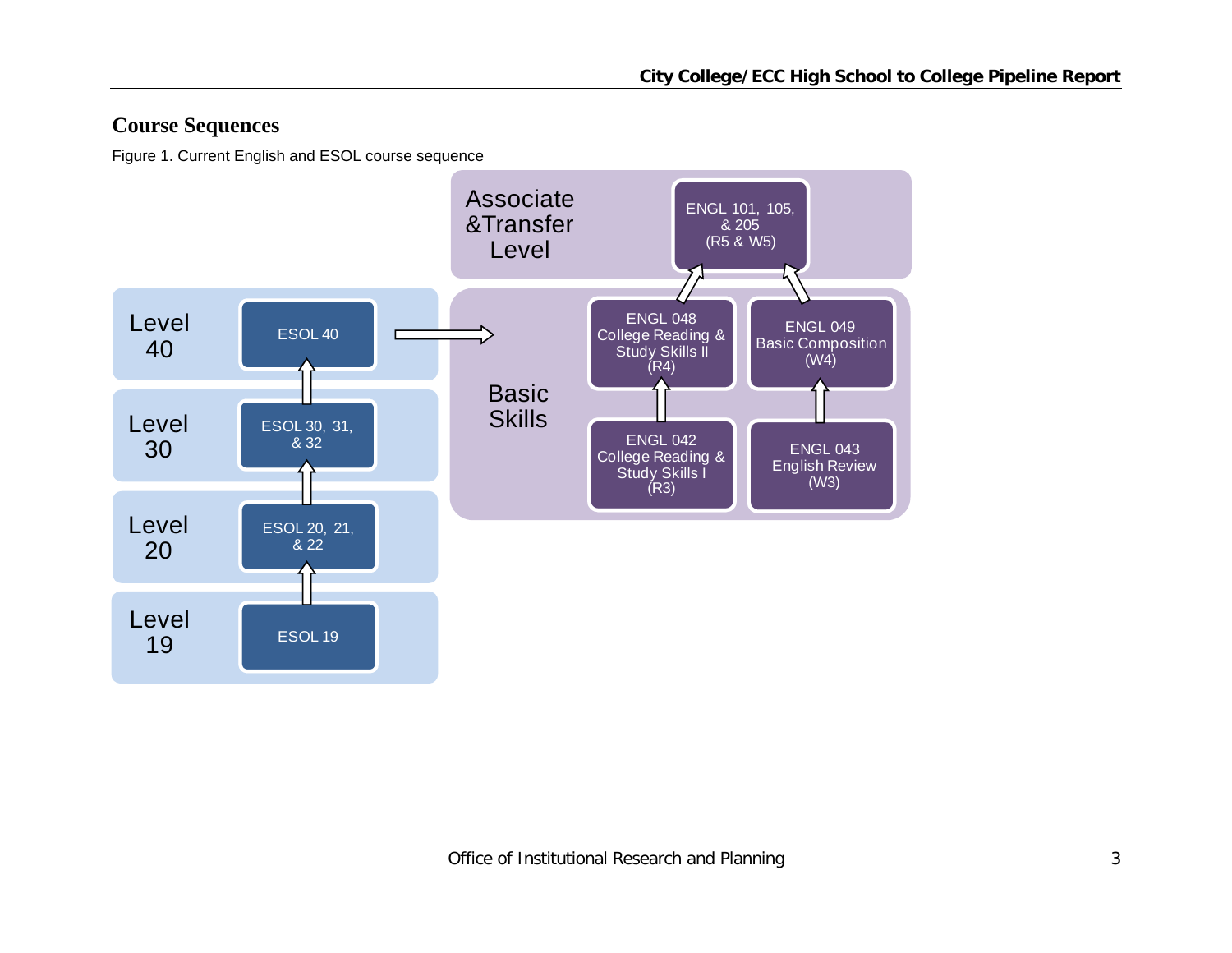## **Course Sequences**

Figure 1. Current English and ESOL course sequence

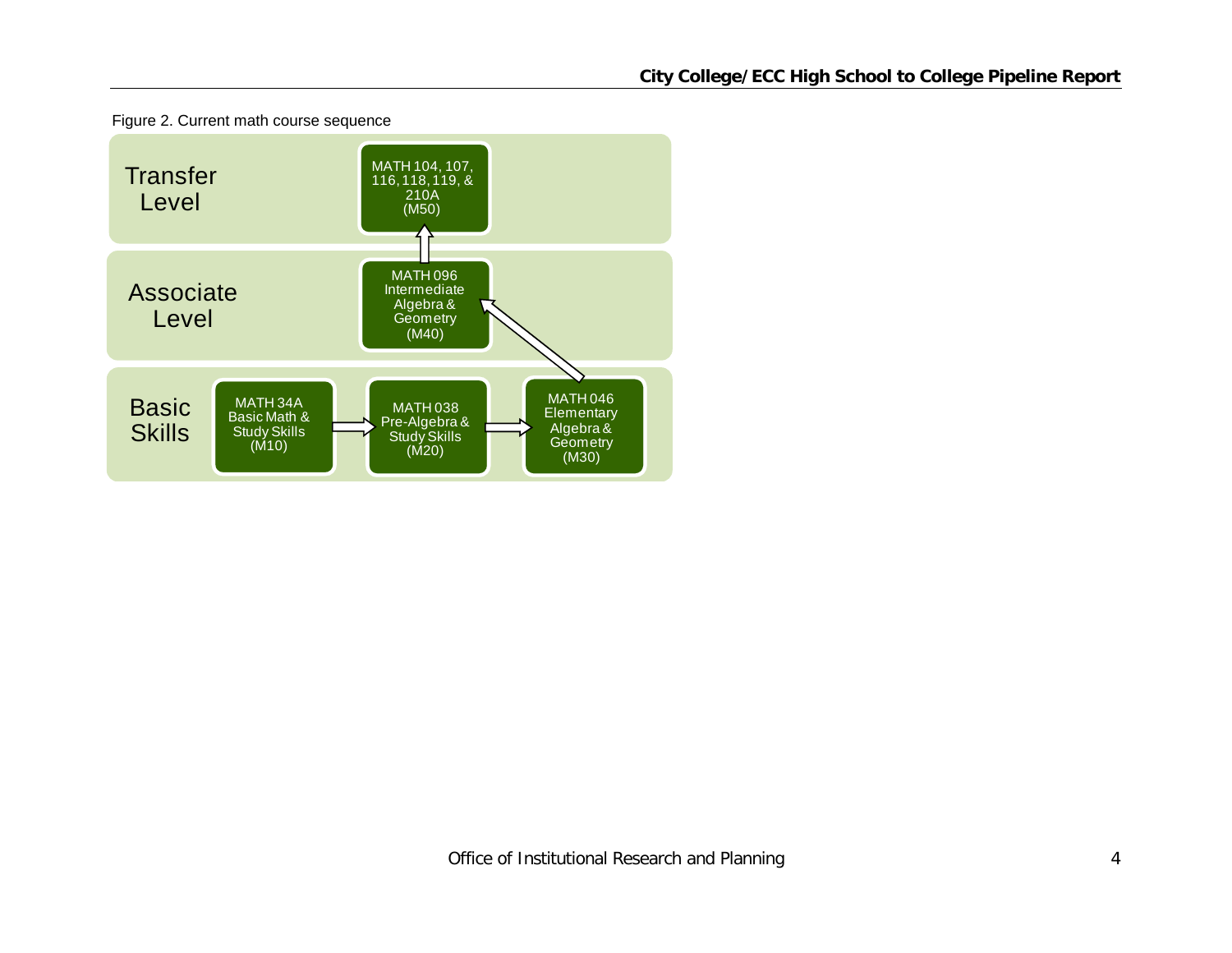

Figure 2. Current math course sequence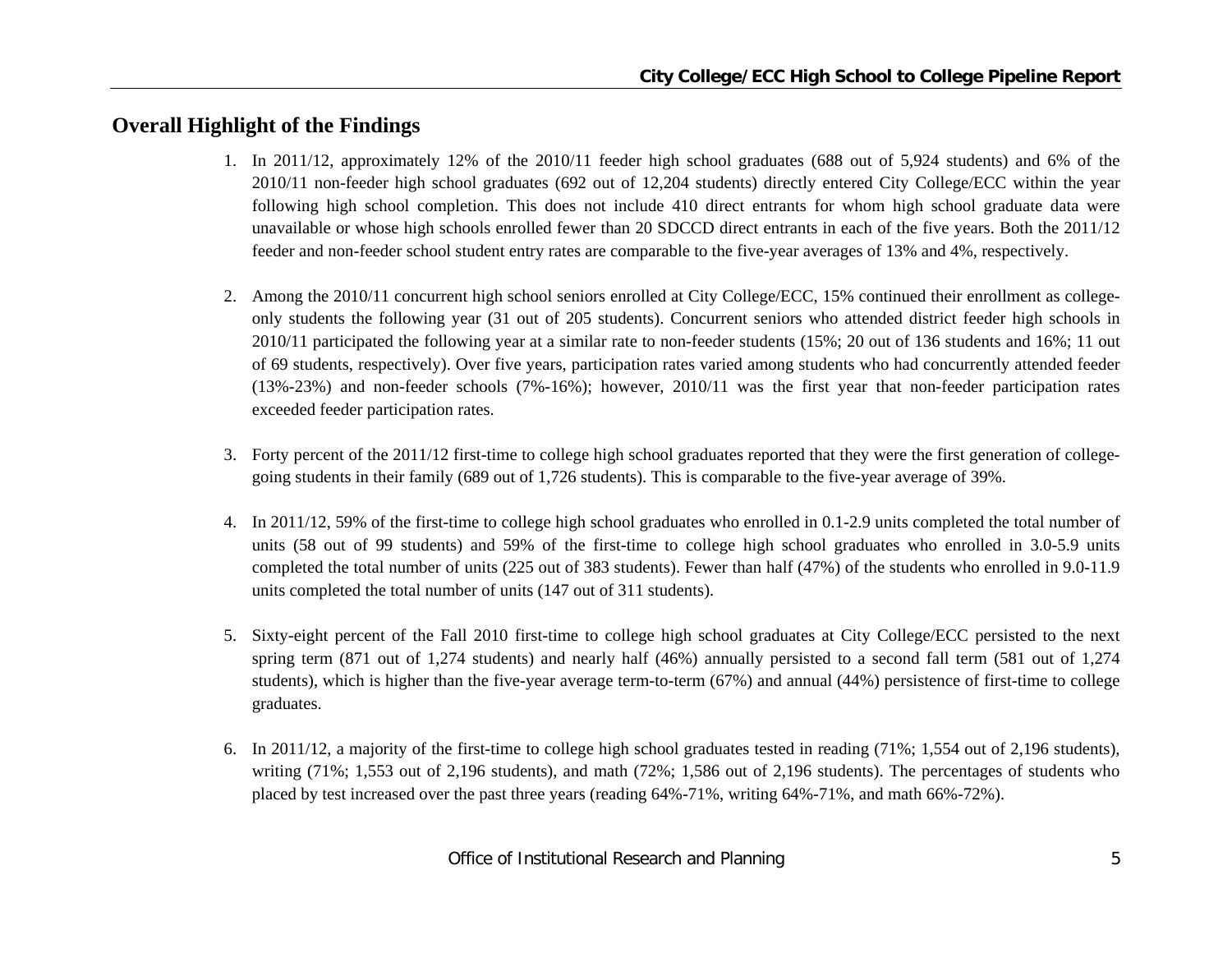## **Overall Highlight of the Findings**

- 1. In 2011/12, approximately 12% of the 2010/11 feeder high school graduates (688 out of 5,924 students) and 6% of the 2010/11 non-feeder high school graduates (692 out of 12,204 students) directly entered City College/ECC within the year following high school completion. This does not include 410 direct entrants for whom high school graduate data were unavailable or whose high schools enrolled fewer than 20 SDCCD direct entrants in each of the five years. Both the 2011/12 feeder and non-feeder school student entry rates are comparable to the five-year averages of 13% and 4%, respectively.
- 2. Among the 2010/11 concurrent high school seniors enrolled at City College/ECC, 15% continued their enrollment as collegeonly students the following year (31 out of 205 students). Concurrent seniors who attended district feeder high schools in 2010/11 participated the following year at a similar rate to non-feeder students (15%; 20 out of 136 students and 16%; 11 out of 69 students, respectively). Over five years, participation rates varied among students who had concurrently attended feeder (13%-23%) and non-feeder schools (7%-16%); however, 2010/11 was the first year that non-feeder participation rates exceeded feeder participation rates.
- 3. Forty percent of the 2011/12 first-time to college high school graduates reported that they were the first generation of collegegoing students in their family (689 out of 1,726 students). This is comparable to the five-year average of 39%.
- 4. In 2011/12, 59% of the first-time to college high school graduates who enrolled in 0.1-2.9 units completed the total number of units (58 out of 99 students) and 59% of the first-time to college high school graduates who enrolled in 3.0-5.9 units completed the total number of units (225 out of 383 students). Fewer than half (47%) of the students who enrolled in 9.0-11.9 units completed the total number of units (147 out of 311 students).
- 5. Sixty-eight percent of the Fall 2010 first-time to college high school graduates at City College/ECC persisted to the next spring term (871 out of 1,274 students) and nearly half (46%) annually persisted to a second fall term (581 out of 1,274 students), which is higher than the five-year average term-to-term (67%) and annual (44%) persistence of first-time to college graduates.
- 6. In 2011/12, a majority of the first-time to college high school graduates tested in reading (71%; 1,554 out of 2,196 students), writing (71%; 1,553 out of 2,196 students), and math (72%; 1,586 out of 2,196 students). The percentages of students who placed by test increased over the past three years (reading 64%-71%, writing 64%-71%, and math 66%-72%).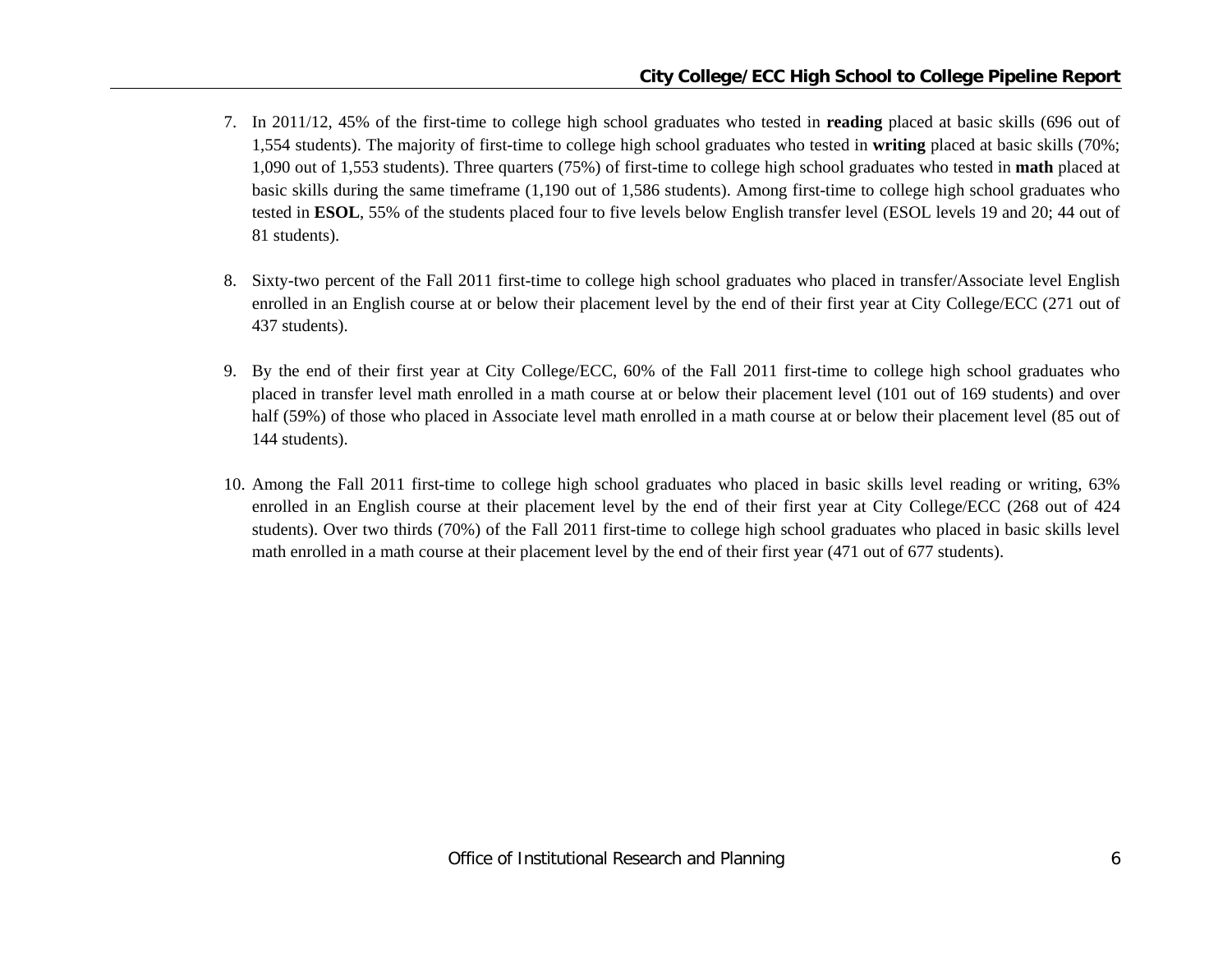- 7. In 2011/12, 45% of the first-time to college high school graduates who tested in **reading** placed at basic skills (696 out of 1,554 students). The majority of first-time to college high school graduates who tested in **writing** placed at basic skills (70%; 1,090 out of 1,553 students). Three quarters (75%) of first-time to college high school graduates who tested in **math** placed at basic skills during the same timeframe (1,190 out of 1,586 students). Among first-time to college high school graduates who tested in **ESOL**, 55% of the students placed four to five levels below English transfer level (ESOL levels 19 and 20; 44 out of 81 students).
- 8. Sixty-two percent of the Fall 2011 first-time to college high school graduates who placed in transfer/Associate level English enrolled in an English course at or below their placement level by the end of their first year at City College/ECC (271 out of 437 students).
- 9. By the end of their first year at City College/ECC, 60% of the Fall 2011 first-time to college high school graduates who placed in transfer level math enrolled in a math course at or below their placement level (101 out of 169 students) and over half (59%) of those who placed in Associate level math enrolled in a math course at or below their placement level (85 out of 144 students).
- 10. Among the Fall 2011 first-time to college high school graduates who placed in basic skills level reading or writing, 63% enrolled in an English course at their placement level by the end of their first year at City College/ECC (268 out of 424 students). Over two thirds (70%) of the Fall 2011 first-time to college high school graduates who placed in basic skills level math enrolled in a math course at their placement level by the end of their first year (471 out of 677 students).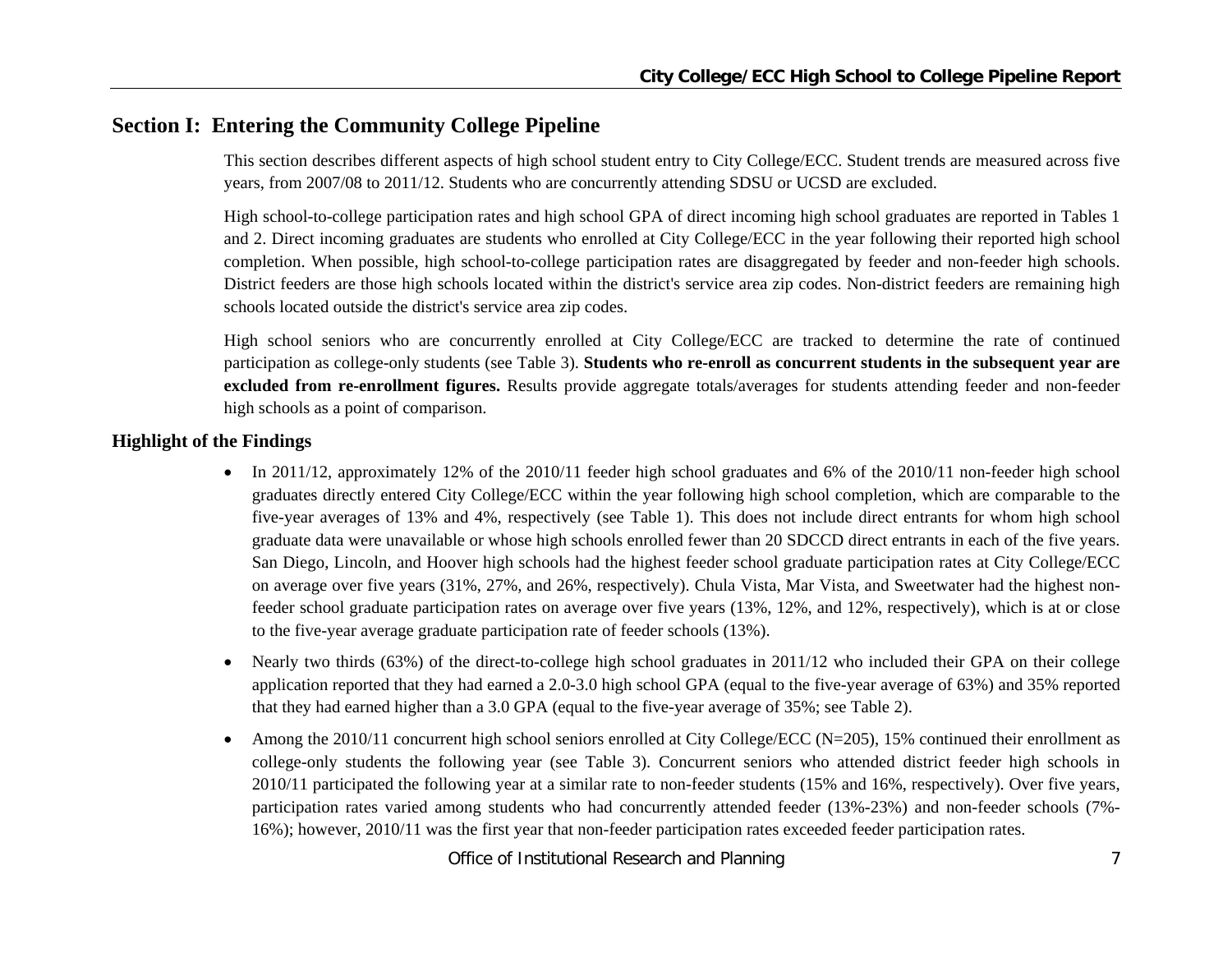## **Section I: Entering the Community College Pipeline**

This section describes different aspects of high school student entry to City College/ECC. Student trends are measured across five years, from 2007/08 to 2011/12. Students who are concurrently attending SDSU or UCSD are excluded.

High school-to-college participation rates and high school GPA of direct incoming high school graduates are reported in Tables 1 and 2. Direct incoming graduates are students who enrolled at City College/ECC in the year following their reported high school completion. When possible, high school-to-college participation rates are disaggregated by feeder and non-feeder high schools. District feeders are those high schools located within the district's service area zip codes. Non-district feeders are remaining high schools located outside the district's service area zip codes.

High school seniors who are concurrently enrolled at City College/ECC are tracked to determine the rate of continued participation as college-only students (see Table 3). **Students who re-enroll as concurrent students in the subsequent year are excluded from re-enrollment figures.** Results provide aggregate totals/averages for students attending feeder and non-feeder high schools as a point of comparison.

#### **Highlight of the Findings**

- In 2011/12, approximately 12% of the 2010/11 feeder high school graduates and 6% of the 2010/11 non-feeder high school graduates directly entered City College/ECC within the year following high school completion, which are comparable to the five-year averages of 13% and 4%, respectively (see Table 1). This does not include direct entrants for whom high school graduate data were unavailable or whose high schools enrolled fewer than 20 SDCCD direct entrants in each of the five years. San Diego, Lincoln, and Hoover high schools had the highest feeder school graduate participation rates at City College/ECC on average over five years (31%, 27%, and 26%, respectively). Chula Vista, Mar Vista, and Sweetwater had the highest nonfeeder school graduate participation rates on average over five years (13%, 12%, and 12%, respectively), which is at or close to the five-year average graduate participation rate of feeder schools (13%).
- $\bullet$  Nearly two thirds (63%) of the direct-to-college high school graduates in 2011/12 who included their GPA on their college application reported that they had earned a 2.0-3.0 high school GPA (equal to the five-year average of 63%) and 35% reported that they had earned higher than a 3.0 GPA (equal to the five-year average of 35%; see Table 2).
- 0 Among the 2010/11 concurrent high school seniors enrolled at City College/ECC (N=205), 15% continued their enrollment as college-only students the following year (see Table 3). Concurrent seniors who attended district feeder high schools in 2010/11 participated the following year at a similar rate to non-feeder students (15% and 16%, respectively). Over five years, participation rates varied among students who had concurrently attended feeder (13%-23%) and non-feeder schools (7%- 16%); however, 2010/11 was the first year that non-feeder participation rates exceeded feeder participation rates.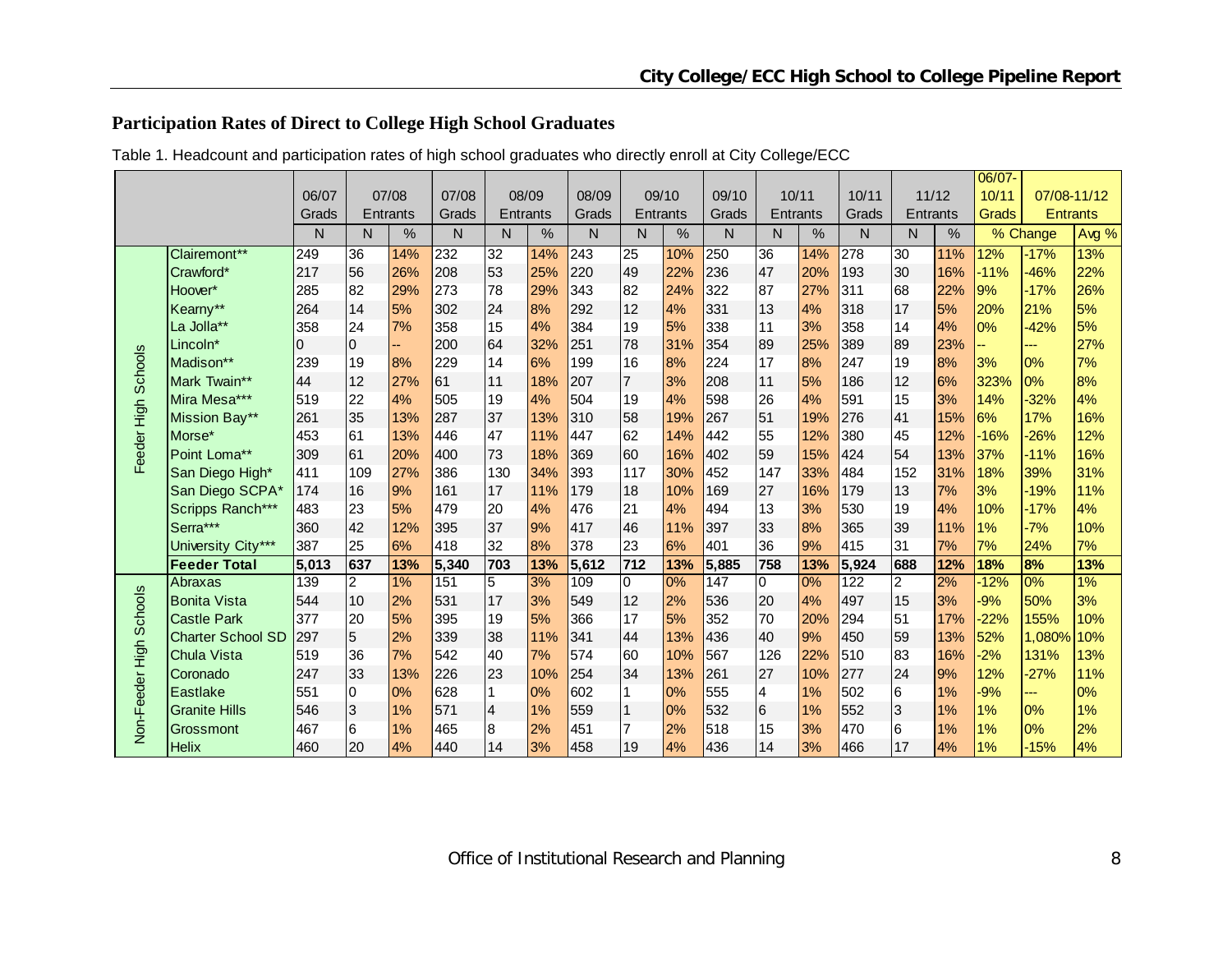## **Participation Rates of Direct to College High School Graduates**

|                         |                          |          |                 |                 |       |                 |      |              |                 |                 |       |                         |     |       |                |               | $06/07 -$ |                 |       |
|-------------------------|--------------------------|----------|-----------------|-----------------|-------|-----------------|------|--------------|-----------------|-----------------|-------|-------------------------|-----|-------|----------------|---------------|-----------|-----------------|-------|
|                         |                          | 06/07    |                 | 07/08           | 07/08 | 08/09           |      | 08/09        |                 | 09/10           | 09/10 | 10/11                   |     | 10/11 |                | 11/12         | 10/11     | 07/08-11/12     |       |
|                         |                          | Grads    |                 | <b>Entrants</b> | Grads | Entrants        |      | Grads        |                 | <b>Entrants</b> | Grads | Entrants                |     | Grads | Entrants       |               | Grads     | <b>Entrants</b> |       |
|                         |                          | N        | N               | %               | N     | N               | $\%$ | $\mathsf{N}$ | N               | $\%$            | N     | N.                      | %   | N     | N              | $\frac{0}{0}$ |           | % Change        | Avg % |
|                         | Clairemont**             | 249      | 36              | 14%             | 232   | $\overline{32}$ | 14%  | 243          | $\overline{25}$ | 10%             | 250   | 36                      | 14% | 278   | 30             | 11%           | 12%       | $-17%$          | 13%   |
|                         | Crawford*                | 217      | 56              | 26%             | 208   | 53              | 25%  | 220          | 49              | 22%             | 236   | 47                      | 20% | 193   | 30             | 16%           | $-11%$    | $-46%$          | 22%   |
|                         | Hoover*                  | 285      | 82              | 29%             | 273   | 78              | 29%  | 343          | 82              | 24%             | 322   | 87                      | 27% | 311   | 68             | 22%           | 9%        | $-17%$          | 26%   |
|                         | Kearny**                 | 264      | 14              | 5%              | 302   | 24              | 8%   | 292          | 12              | 4%              | 331   | 13                      | 4%  | 318   | 17             | 5%            | 20%       | 21%             | 5%    |
|                         | La Jolla**               | 358      | 24              | 7%              | 358   | 15              | 4%   | 384          | 19              | 5%              | 338   | 11                      | 3%  | 358   | 14             | 4%            | 0%        | $-42%$          | 5%    |
|                         | Lincoln*                 | $\Omega$ | $\overline{0}$  |                 | 200   | 64              | 32%  | 251          | 78              | 31%             | 354   | 89                      | 25% | 389   | 89             | 23%           |           | ---             | 27%   |
|                         | Madison**                | 239      | 19              | 8%              | 229   | 14              | 6%   | 199          | 16              | 8%              | 224   | 17                      | 8%  | 247   | 19             | 8%            | 3%        | 0%              | 7%    |
| Feeder High Schools     | Mark Twain**             | 44       | 12              | 27%             | 61    | 11              | 18%  | 207          | $\overline{7}$  | 3%              | 208   | 11                      | 5%  | 186   | 12             | 6%            | 323%      | 0%              | 8%    |
|                         | Mira Mesa***             | 519      | 22              | 4%              | 505   | 19              | 4%   | 504          | 19              | 4%              | 598   | 26                      | 4%  | 591   | 15             | 3%            | 14%       | $-32%$          | 4%    |
|                         | Mission Bay**            | 261      | 35              | 13%             | 287   | 37              | 13%  | 310          | 58              | 19%             | 267   | 51                      | 19% | 276   | 41             | 15%           | 6%        | 17%             | 16%   |
|                         | Morse*                   | 453      | 61              | 13%             | 446   | 47              | 11%  | 447          | 62              | 14%             | 442   | 55                      | 12% | 380   | 45             | 12%           | $-16%$    | $-26%$          | 12%   |
|                         | Point Loma**             | 309      | 61              | 20%             | 400   | 73              | 18%  | 369          | 60              | 16%             | 402   | 59                      | 15% | 424   | 54             | 13%           | 37%       | $-11%$          | 16%   |
|                         | San Diego High*          | 411      | 109             | 27%             | 386   | 130             | 34%  | 393          | 117             | 30%             | 452   | 147                     | 33% | 484   | 152            | 31%           | 18%       | 39%             | 31%   |
|                         | San Diego SCPA*          | 174      | 16              | 9%              | 161   | 17              | 11%  | 179          | 18              | 10%             | 169   | 27                      | 16% | 179   | 13             | 7%            | 3%        | $-19%$          | 11%   |
|                         | Scripps Ranch***         | 483      | 23              | 5%              | 479   | 20              | 4%   | 476          | 21              | 4%              | 494   | 13                      | 3%  | 530   | 19             | 4%            | 10%       | $-17%$          | 4%    |
|                         | Serra***                 | 360      | 42              | 12%             | 395   | 37              | 9%   | 417          | 46              | 11%             | 397   | 33                      | 8%  | 365   | 39             | 11%           | 1%        | $-7%$           | 10%   |
|                         | University City***       | 387      | 25              | 6%              | 418   | 32              | 8%   | 378          | 23              | 6%              | 401   | 36                      | 9%  | 415   | 31             | 7%            | 7%        | 24%             | 7%    |
|                         | <b>Feeder Total</b>      | 5,013    | 637             | 13%             | 5,340 | 703             | 13%  | 5,612        | $712$           | 13%             | 5,885 | 758                     | 13% | 5,924 | 688            | 12%           | 18%       | 8%              | 13%   |
|                         | Abraxas                  | 139      | $\overline{2}$  | $1\%$           | 151   | 5               | 3%   | 109          | $\Omega$        | 0%              | 147   | $\overline{0}$          | 0%  | 122   | $\overline{2}$ | 2%            | $-12%$    | 0%              | 1%    |
|                         | <b>Bonita Vista</b>      | 544      | 10              | 2%              | 531   | 17              | 3%   | 549          | 12              | 2%              | 536   | 20                      | 4%  | 497   | 15             | 3%            | $-9%$     | 50%             | 3%    |
|                         | <b>Castle Park</b>       | 377      | 20              | 5%              | 395   | 19              | 5%   | 366          | 17              | 5%              | 352   | 70                      | 20% | 294   | 51             | 17%           | $-22%$    | 155%            | 10%   |
|                         | <b>Charter School SD</b> | 297      | $\overline{5}$  | 2%              | 339   | 38              | 11%  | 341          | 44              | 13%             | 436   | 40                      | 9%  | 450   | 59             | 13%           | 52%       | 1,080%          | 10%   |
|                         | Chula Vista              | 519      | 36              | 7%              | 542   | 40              | 7%   | 574          | 60              | 10%             | 567   | 126                     | 22% | 510   | 83             | 16%           | $-2%$     | 131%            | 13%   |
|                         | Coronado                 | 247      | 33              | 13%             | 226   | 23              | 10%  | 254          | 34              | 13%             | 261   | 27                      | 10% | 277   | 24             | 9%            | 12%       | $-27%$          | 11%   |
|                         | Eastlake                 | 551      | $\Omega$        | 0%              | 628   | $\mathbf{1}$    | 0%   | 602          | 1               | 0%              | 555   | $\overline{\mathbf{4}}$ | 1%  | 502   | 6              | 1%            | $-9%$     | ---             | 0%    |
| Non-Feeder High Schools | <b>Granite Hills</b>     | 546      | $\overline{3}$  | 1%              | 571   | $\overline{4}$  | 1%   | 559          | $\overline{1}$  | 0%              | 532   | l6                      | 1%  | 552   | $\overline{3}$ | 1%            | 1%        | 0%              | 1%    |
|                         | <b>Grossmont</b>         | 467      | $6\phantom{.}6$ | 1%              | 465   | $\bf{8}$        | 2%   | 451          | $\overline{7}$  | 2%              | 518   | 15                      | 3%  | 470   | 6              | 1%            | 1%        | 0%              | 2%    |
|                         | <b>Helix</b>             | 460      | 20              | 4%              | 440   | 14              | 3%   | 458          | 19              | 4%              | 436   | 14                      | 3%  | 466   | 17             | 4%            | 1%        | $-15%$          | 4%    |

Table 1. Headcount and participation rates of high school graduates who directly enroll at City College/ECC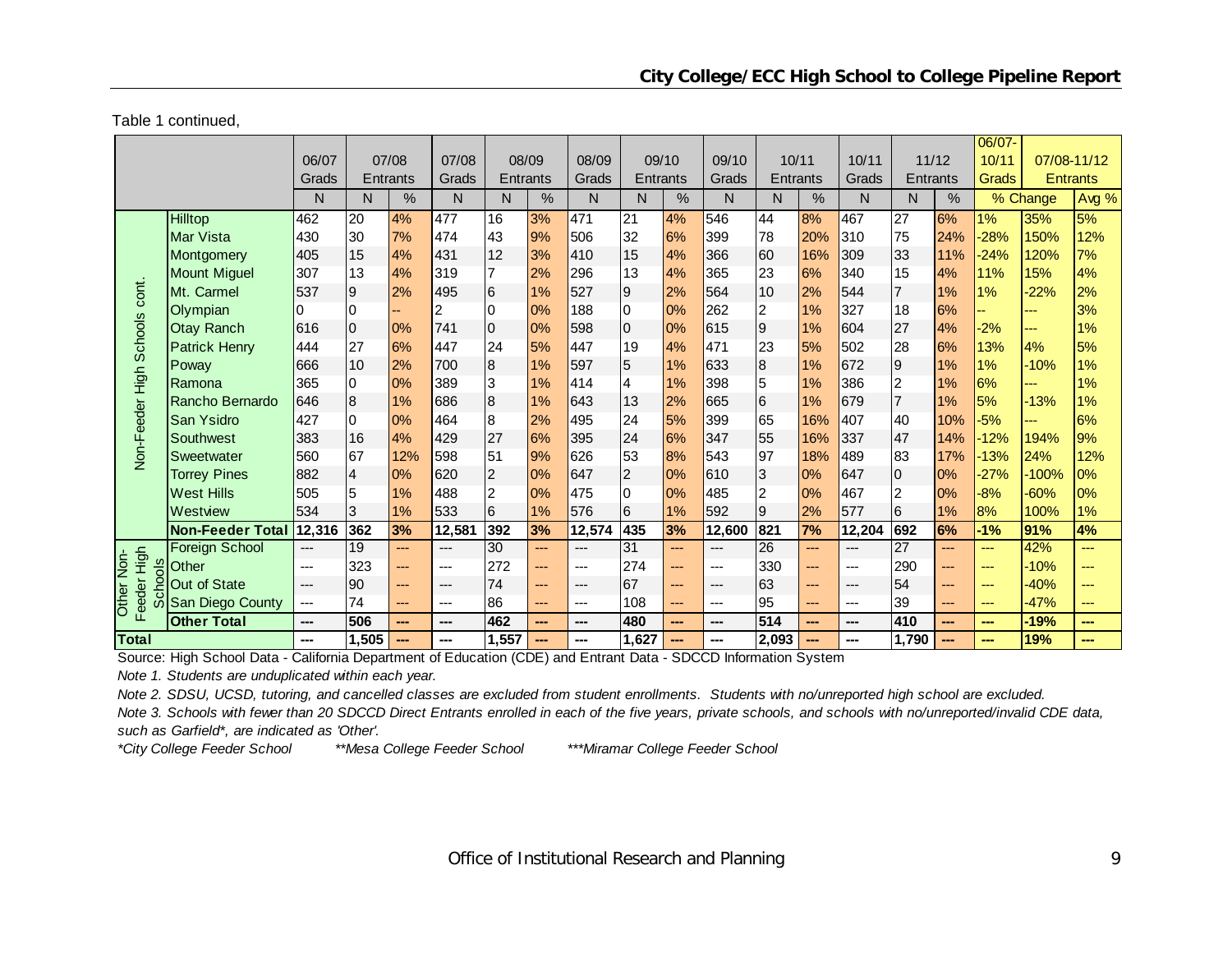Table 1 continued,

|                           |                         |        |                 |                 |        |                 |                |        |                 |       |        |                 |                |        |                |       | $06/07 -$ |          |                 |
|---------------------------|-------------------------|--------|-----------------|-----------------|--------|-----------------|----------------|--------|-----------------|-------|--------|-----------------|----------------|--------|----------------|-------|-----------|----------|-----------------|
|                           |                         | 06/07  |                 | 07/08           | 07/08  |                 | 08/09          | 08/09  |                 | 09/10 | 09/10  | 10/11           |                | 10/11  |                | 11/12 | 10/11     |          | 07/08-11/12     |
|                           |                         | Grads  |                 | <b>Entrants</b> | Grads  | <b>Entrants</b> |                | Grads  | Entrants        |       | Grads  | Entrants        |                | Grads  | Entrants       |       | Grads     |          | <b>Entrants</b> |
|                           |                         | N      | N               | %               | N      | N.              | %              | N      | N.              | %     | N      | N.              | $\frac{0}{0}$  | N      | N              | %     |           | % Change | Avg %           |
|                           | Hilltop                 | 462    | $\overline{20}$ | 4%              | 477    | 16              | 3%             | 471    | $\overline{21}$ | 4%    | 546    | 44              | 8%             | 467    | 27             | 6%    | 1%        | 35%      | 5%              |
|                           | Mar Vista               | 430    | 30              | 7%              | 474    | 43              | 9%             | 506    | 32              | 6%    | 399    | 78              | 20%            | 310    | 75             | 24%   | $-28%$    | 150%     | 12%             |
|                           | Montgomery              | 405    | 15              | 4%              | 431    | 12              | 3%             | 410    | 15              | 4%    | 366    | 60              | 16%            | 309    | 33             | 11%   | $-24%$    | 120%     | 7%              |
|                           | <b>Mount Miguel</b>     | 307    | 13              | 4%              | 319    | $\overline{7}$  | 2%             | 296    | 13              | 4%    | 365    | 23              | 6%             | 340    | 15             | 4%    | 11%       | 15%      | 4%              |
| cont.                     | Mt. Carmel              | 537    | 9               | 2%              | 495    | $6\phantom{.}6$ | 1%             | 527    | Ι9              | 2%    | 564    | 10              | 2%             | 544    | $\overline{7}$ | 1%    | 1%        | $-22%$   | 2%              |
|                           | Olympian                | 0      | 0               |                 | 2      | $\overline{0}$  | 0%             | 188    | Iо              | 0%    | 262    | $\overline{c}$  | 1%             | 327    | 18             | 6%    |           | ---      | 3%              |
| Non-Feeder High Schools   | <b>Otay Ranch</b>       | 616    | l0              | 0%              | 741    | $\overline{0}$  | 0%             | 598    | l0              | 0%    | 615    | $\overline{9}$  | 1%             | 604    | 27             | 4%    | $-2%$     | ---      | 1%              |
|                           | <b>Patrick Henry</b>    | 444    | 27              | 6%              | 447    | 24              | 5%             | 447    | 19              | 4%    | 471    | 23              | 5%             | 502    | 28             | 6%    | 13%       | 4%       | 5%              |
|                           | Poway                   | 666    | 10              | 2%              | 700    | $\overline{8}$  | 1%             | 597    | 5               | 1%    | 633    | $\bf{8}$        | 1%             | 672    | $\overline{9}$ | 1%    | 1%        | $-10%$   | 1%              |
|                           | Ramona                  | 365    | 0               | 0%              | 389    | 3               | 1%             | 414    | 4               | 1%    | 398    | 5               | 1%             | 386    | $\overline{2}$ | 1%    | 6%        | ---      | 1%              |
|                           | Rancho Bernardo         | 646    | 8               | 1%              | 686    | $\overline{8}$  | 1%             | 643    | 13              | 2%    | 665    | $6\overline{6}$ | 1%             | 679    | $\overline{7}$ | 1%    | 5%        | $-13%$   | 1%              |
|                           | <b>San Ysidro</b>       | 427    | $\overline{0}$  | 0%              | 464    | $\overline{8}$  | 2%             | 495    | 24              | 5%    | 399    | 65              | 16%            | 407    | 40             | 10%   | $-5%$     | ---      | 6%              |
|                           | Southwest               | 383    | 16              | 4%              | 429    | 27              | 6%             | 395    | 24              | 6%    | 347    | 55              | 16%            | 337    | 47             | 14%   | $-12%$    | 194%     | 9%              |
|                           | <b>Sweetwater</b>       | 560    | 67              | 12%             | 598    | 51              | 9%             | 626    | 53              | 8%    | 543    | 97              | 18%            | 489    | 83             | 17%   | $-13%$    | 24%      | 12%             |
|                           | <b>Torrey Pines</b>     | 882    | $\overline{4}$  | 0%              | 620    | $\overline{2}$  | 0%             | 647    | $\overline{2}$  | 0%    | 610    | $\overline{3}$  | 0%             | 647    | $\overline{0}$ | 0%    | $-27%$    | $-100%$  | 0%              |
|                           | <b>West Hills</b>       | 505    | 5               | 1%              | 488    | $\overline{c}$  | 0%             | 475    | $\overline{0}$  | 0%    | 485    | $\overline{2}$  | 0%             | 467    | $\overline{2}$ | 0%    | $-8%$     | $-60%$   | 0%              |
|                           | Westview                | 534    | 3               | 1%              | 533    | $6\overline{6}$ | 1%             | 576    | 6               | 1%    | 592    | $\overline{9}$  | 2%             | 577    | 6              | 1%    | 8%        | 100%     | 1%              |
|                           | <b>Non-Feeder Total</b> | 12,316 | 362             | 3%              | 12,581 | 392             | 3%             | 12,574 | 435             | 3%    | 12,600 | 821             | 7%             | 12,204 | 692            | 6%    | $-1%$     | 91%      | 4%              |
|                           | <b>Foreign School</b>   | $---$  | 19              | ---             | $---$  | 30              | $\overline{a}$ | $---$  | 31              | $---$ | $---$  | $\overline{26}$ | $\overline{a}$ | $---$  | 27             | $---$ | $---$     | 42%      | ---             |
| d <sub>s</sub>            | Other                   | $---$  | 323             | ---             | ---    | 272             | ---            | ---    | 274             | $---$ | $---$  | 330             | $---$          | $---$  | 290            | ---   | ---       | $-10%$   | ---             |
| ğ                         | Out of State            | ---    | 90              | ---             | ---    | 74              | ---            | $---$  | 67              | $---$ | $---$  | 63              | ---            | $---$  | 54             | ---   | ---       | $-40%$   | ---             |
| Feeder High<br>Other Non- | San Diego County        | ---    | 74              | $---$           | ---    | 86              | $---$          | $---$  | 108             | $---$ | $---$  | 95              | $---$          | $---$  | 39             | ---   | $\cdots$  | $-47%$   | ---             |
|                           | <b>Other Total</b>      | ---    | 506             | ---             | ---    | 462             | ---            | ---    | 480             | ---   | ---    | 514             | ---            | ---    | 410            | ---   | ---       | $-19%$   | ---             |
| Total                     |                         | ---    | 1,505           | ---             | ---    | 1,557           | ---            |        | 1,627           | ---   |        | 2,093           | ---            |        | 1,790          | ---   |           | 19%      | ---             |

Source: High School Data - California Department of Education (CDE) and Entrant Data - SDCCD Information System

*Note 1. Students are unduplicated within each year.*

*Note 2. SDSU, UCSD, tutoring, and cancelled classes are excluded from student enrollments. Students with no/unreported high school are excluded.*

*Note 3. Schools with fewer than 20 SDCCD Direct Entrants enrolled in each of the five years, private schools, and schools with no/unreported/invalid CDE data, such as Garfield\*, are indicated as 'Other'.*

*\*City College Feeder School \*\*Mesa College Feeder School \*\*\*Miramar College Feeder School*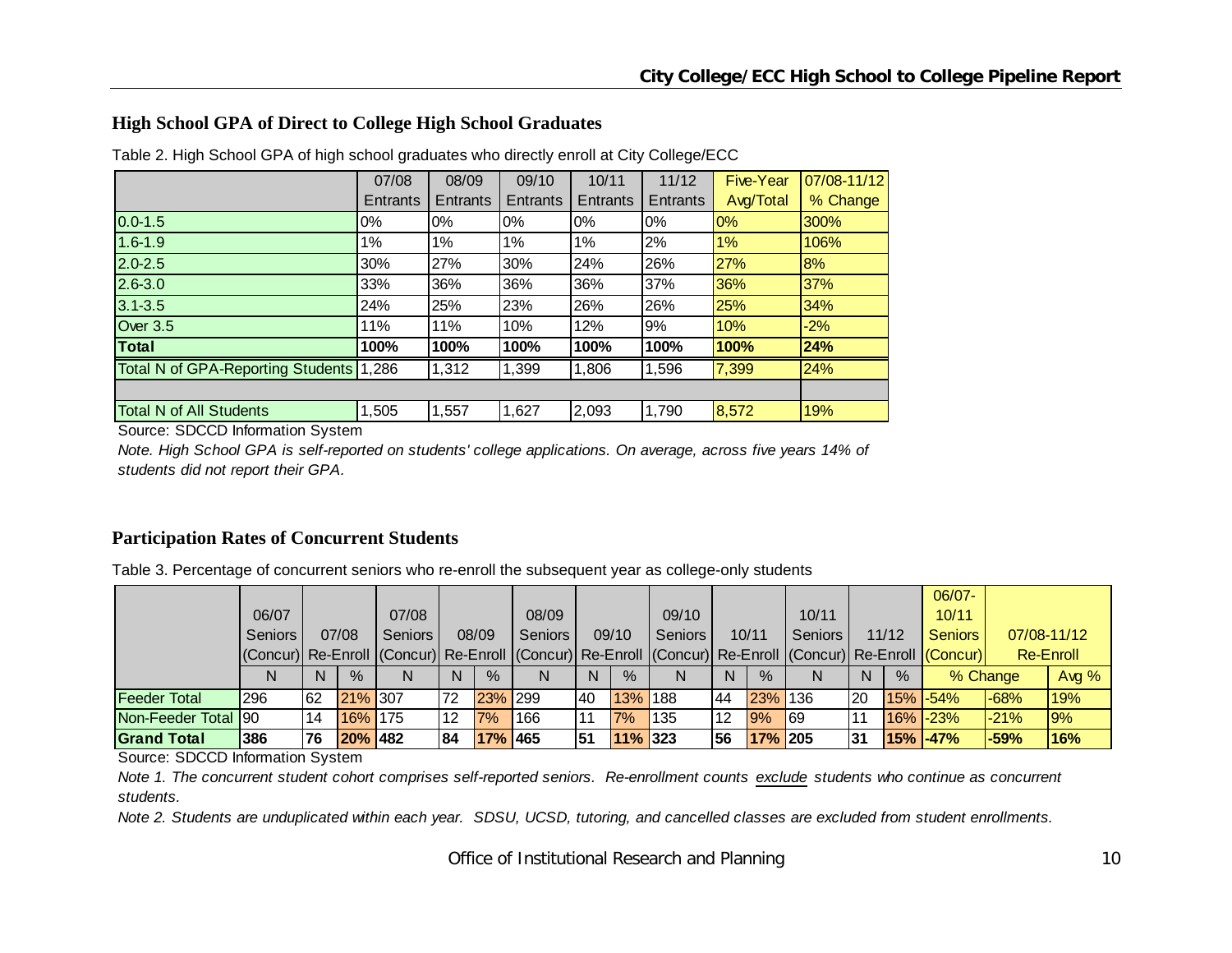#### **High School GPA of Direct to College High School Graduates**

|                                   | 07/08    | 08/09    | 09/10    | 10/11    | 11/12           | <b>Five-Year</b> | 07/08-11/12 |
|-----------------------------------|----------|----------|----------|----------|-----------------|------------------|-------------|
|                                   | Entrants | Entrants | Entrants | Entrants | <b>Entrants</b> | Avg/Total        | % Change    |
| $0.0 - 1.5$                       | 0%       | $0\%$    | $0\%$    | $0\%$    | 0%              | 0%               | 300%        |
| $1.6 - 1.9$                       | 1%       | $1\%$    | 1%       | 1%       | 2%              | $1\%$            | 106%        |
| $2.0 - 2.5$                       | 30%      | 27%      | 30%      | 24%      | 26%             | <b>27%</b>       | 8%          |
| $2.6 - 3.0$                       | 33%      | 36%      | 36%      | 36%      | 37%             | 36%              | 37%         |
| $3.1 - 3.5$                       | 24%      | 25%      | 23%      | 26%      | 26%             | 25%              | 34%         |
| <b>Over 3.5</b>                   | 11%      | 11%      | 10%      | 12%      | 9%              | 10%              | $-2%$       |
| Total                             | 100%     | 100%     | 100%     | 100%     | 100%            | 100%             | 24%         |
| Total N of GPA-Reporting Students | 1.286    | 1,312    | 1,399    | 1,806    | 1,596           | 7,399            | 24%         |
|                                   |          |          |          |          |                 |                  |             |
| <b>Total N of All Students</b>    | 1,505    | 1,557    | 1,627    | 2,093    | 1,790           | 8,572            | 19%         |

Table 2. High School GPA of high school graduates who directly enroll at City College/ECC

Source: SDCCD Information System

*Note. High School GPA is self-reported on students' college applications. On average, across five years 14% of students did not report their GPA.*

#### **Participation Rates of Concurrent Students**

Table 3. Percentage of concurrent seniors who re-enroll the subsequent year as college-only students

|                     |                                                                                                        |     |         |                |    |         |           |           |            |                |     |               |                |                 |       | $06/07 -$      |        |             |
|---------------------|--------------------------------------------------------------------------------------------------------|-----|---------|----------------|----|---------|-----------|-----------|------------|----------------|-----|---------------|----------------|-----------------|-------|----------------|--------|-------------|
|                     | 06/07                                                                                                  |     |         | 07/08          |    |         | 08/09     |           |            | 09/10          |     |               | 10/11          |                 |       | 10/11          |        |             |
|                     | Seniors                                                                                                |     | 07/08   | <b>Seniors</b> |    | 08/09   | Seniors I |           | 09/10      | <b>Seniors</b> |     | 10/11         | <b>Seniors</b> |                 | 11/12 | <b>Seniors</b> |        | 07/08-11/12 |
|                     | Concur) Re-Enroll (Concur) Re-Enroll (Concur) Re-Enroll (Concur) Re-Enroll (Concur) Re-Enroll (Concur) |     |         |                |    |         |           |           |            |                |     |               |                |                 |       |                |        | Re-Enroll   |
|                     | N                                                                                                      | N   | $\%$    | N              | N  | $\%$    | N         | N.        | $\%$       | N              | N   | $\frac{9}{6}$ | N              | N               | $\%$  | % Change       |        | Avg $%$     |
| <b>Feeder Total</b> | I296                                                                                                   | 162 | 21% 307 |                | 72 | 23% 299 |           | <b>40</b> | 13% 188    |                | 44  | 23% 136       |                | I <sub>20</sub> |       | $15\%$ -54%    | $-68%$ | 19%         |
| Non-Feeder Total 90 |                                                                                                        | 14  | 16% 175 |                | 12 | 7%      | 166       |           | 7%         | 135            | l12 | 9%            | 69             |                 |       | $16\%$ -23%    | $-21%$ | 9%          |
| <b>Grand Total</b>  | 386                                                                                                    | 176 | 20% 482 |                | 84 | 17% 465 |           | 151       | $11\%$ 323 |                | 56  | $17\%$ 205    |                | l31             |       | $15\%$ -47%    | $-59%$ | 16%         |

Source: SDCCD Information System

*Note 1. The concurrent student cohort comprises self-reported seniors. Re-enrollment counts exclude students who continue as concurrent students.* 

*Note 2. Students are unduplicated within each year. SDSU, UCSD, tutoring, and cancelled classes are excluded from student enrollments.*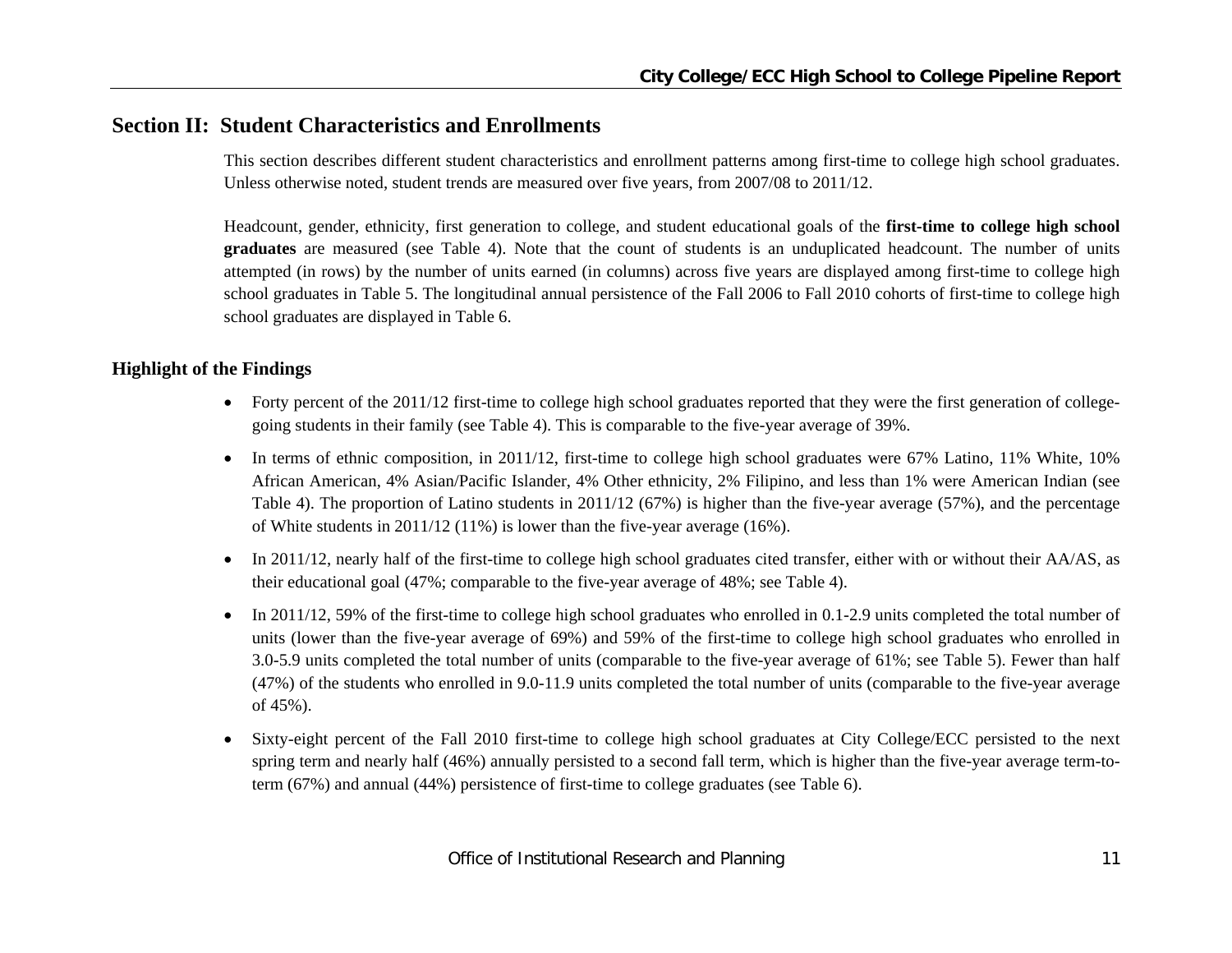## **Section II: Student Characteristics and Enrollments**

This section describes different student characteristics and enrollment patterns among first-time to college high school graduates. Unless otherwise noted, student trends are measured over five years, from 2007/08 to 2011/12.

Headcount, gender, ethnicity, first generation to college, and student educational goals of the **first-time to college high school graduates** are measured (see Table 4). Note that the count of students is an unduplicated headcount. The number of units attempted (in rows) by the number of units earned (in columns) across five years are displayed among first-time to college high school graduates in Table 5. The longitudinal annual persistence of the Fall 2006 to Fall 2010 cohorts of first-time to college high school graduates are displayed in Table 6.

#### **Highlight of the Findings**

- Forty percent of the 2011/12 first-time to college high school graduates reported that they were the first generation of collegegoing students in their family (see Table 4). This is comparable to the five-year average of 39%.
- In terms of ethnic composition, in 2011/12, first-time to college high school graduates were 67% Latino, 11% White, 10% African American, 4% Asian/Pacific Islander, 4% Other ethnicity, 2% Filipino, and less than 1% were American Indian (see Table 4). The proportion of Latino students in 2011/12 (67%) is higher than the five-year average (57%), and the percentage of White students in  $2011/12$  (11%) is lower than the five-year average (16%).
- In 2011/12, nearly half of the first-time to college high school graduates cited transfer, either with or without their  $AA/AS$ , as their educational goal (47%; comparable to the five-year average of 48%; see Table 4).
- In 2011/12, 59% of the first-time to college high school graduates who enrolled in 0.1-2.9 units completed the total number of units (lower than the five-year average of 69%) and 59% of the first-time to college high school graduates who enrolled in 3.0-5.9 units completed the total number of units (comparable to the five-year average of 61%; see Table 5). Fewer than half (47%) of the students who enrolled in 9.0-11.9 units completed the total number of units (comparable to the five-year average of 45%).
- 0 Sixty-eight percent of the Fall 2010 first-time to college high school graduates at City College/ECC persisted to the next spring term and nearly half (46%) annually persisted to a second fall term, which is higher than the five-year average term-toterm (67%) and annual (44%) persistence of first-time to college graduates (see Table 6).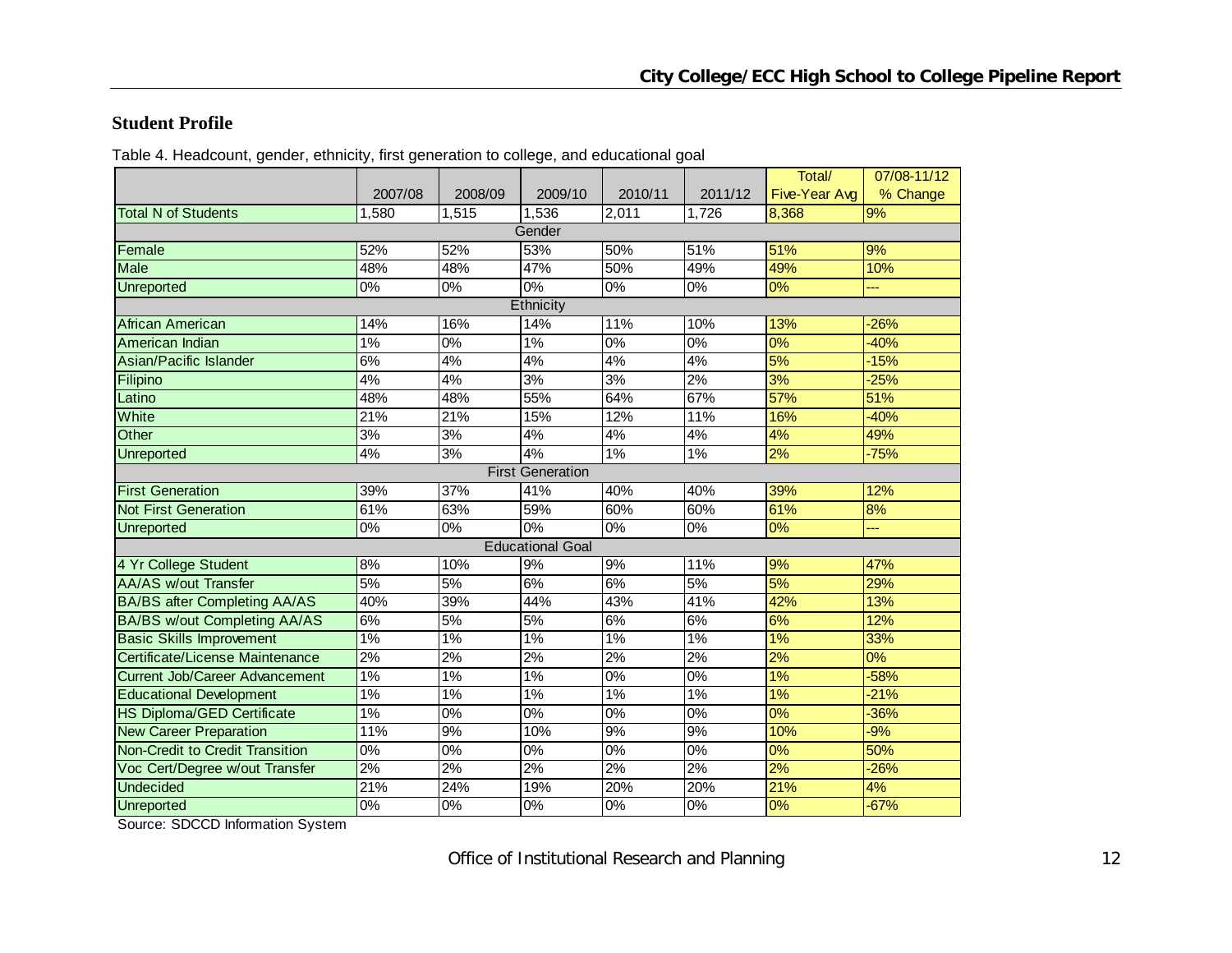#### **Student Profile**

Table 4. Headcount, gender, ethnicity, first generation to college, and educational goal

|                                        |         |                  |                         |                  |         | Total/        | 07/08-11/12 |
|----------------------------------------|---------|------------------|-------------------------|------------------|---------|---------------|-------------|
|                                        | 2007/08 | 2008/09          | 2009/10                 | 2010/11          | 2011/12 | Five-Year Avg | % Change    |
| <b>Total N of Students</b>             | 1,580   | 1,515            | 1,536                   | 2,011            | 1,726   | 8,368         | 9%          |
|                                        |         |                  | Gender                  |                  |         |               |             |
| Female                                 | 52%     | 52%              | 53%                     | 50%              | 51%     | 51%           | 9%          |
| <b>Male</b>                            | 48%     | 48%              | 47%                     | 50%              | 49%     | 49%           | 10%         |
| <b>Unreported</b>                      | $0\%$   | $\overline{0\%}$ | 0%                      | 0%               | $0\%$   | 0%            |             |
|                                        |         |                  | Ethnicity               |                  |         |               |             |
| African American                       | 14%     | 16%              | 14%                     | 11%              | 10%     | 13%           | $-26%$      |
| American Indian                        | 1%      | 0%               | $1\%$                   | $0\%$            | $0\%$   | 0%            | $-40%$      |
| Asian/Pacific Islander                 | 6%      | 4%               | 4%                      | 4%               | 4%      | 5%            | $-15%$      |
| Filipino                               | 4%      | 4%               | 3%                      | 3%               | 2%      | 3%            | $-25%$      |
| Latino                                 | 48%     | 48%              | 55%                     | 64%              | 67%     | 57%           | 51%         |
| White                                  | 21%     | 21%              | 15%                     | 12%              | 11%     | 16%           | $-40%$      |
| Other                                  | 3%      | 3%               | 4%                      | 4%               | 4%      | 4%            | 49%         |
| Unreported                             | 4%      | 3%               | 4%                      | 1%               | 1%      | 2%            | $-75%$      |
|                                        |         |                  | <b>First Generation</b> |                  |         |               |             |
| <b>First Generation</b>                | 39%     | 37%              | 41%                     | 40%              | 40%     | 39%           | 12%         |
| <b>Not First Generation</b>            | 61%     | 63%              | 59%                     | 60%              | 60%     | 61%           | 8%          |
| Unreported                             | 0%      | 0%               | $0\%$                   | 0%               | 0%      | 0%            | ---         |
|                                        |         |                  | <b>Educational Goal</b> |                  |         |               |             |
| 4 Yr College Student                   | 8%      | 10%              | 9%                      | 9%               | 11%     | 9%            | 47%         |
| <b>AA/AS w/out Transfer</b>            | 5%      | 5%               | 6%                      | 6%               | 5%      | 5%            | 29%         |
| <b>BA/BS after Completing AA/AS</b>    | 40%     | 39%              | 44%                     | 43%              | 41%     | 42%           | 13%         |
| <b>BA/BS w/out Completing AA/AS</b>    | 6%      | 5%               | 5%                      | 6%               | 6%      | 6%            | 12%         |
| <b>Basic Skills Improvement</b>        | 1%      | $1\%$            | $1\%$                   | $1\%$            | $1\%$   | 1%            | 33%         |
| Certificate/License Maintenance        | 2%      | 2%               | 2%                      | 2%               | 2%      | 2%            | 0%          |
| <b>Current Job/Career Advancement</b>  | 1%      | 1%               | 1%                      | $0\%$            | 0%      | 1%            | $-58%$      |
| <b>Educational Development</b>         | 1%      | 1%               | 1%                      | 1%               | 1%      | 1%            | $-21%$      |
| <b>HS Diploma/GED Certificate</b>      | 1%      | $\overline{0\%}$ | $\overline{0\%}$        | $\overline{0\%}$ | $0\%$   | 0%            | $-36%$      |
| <b>New Career Preparation</b>          | 11%     | 9%               | 10%                     | 9%               | 9%      | 10%           | $-9%$       |
| <b>Non-Credit to Credit Transition</b> | 0%      | 0%               | $0\%$                   | $0\%$            | 0%      | 0%            | 50%         |
| Voc Cert/Degree w/out Transfer         | 2%      | 2%               | $\sqrt{2\%}$            | 2%               | 2%      | 2%            | $-26%$      |
| <b>Undecided</b>                       | 21%     | 24%              | 19%                     | 20%              | 20%     | 21%           | 4%          |
| Unreported                             | $0\%$   | $\overline{0\%}$ | $\overline{0\%}$        | $0\%$            | $0\%$   | 0%            | $-67%$      |

Source: SDCCD Information System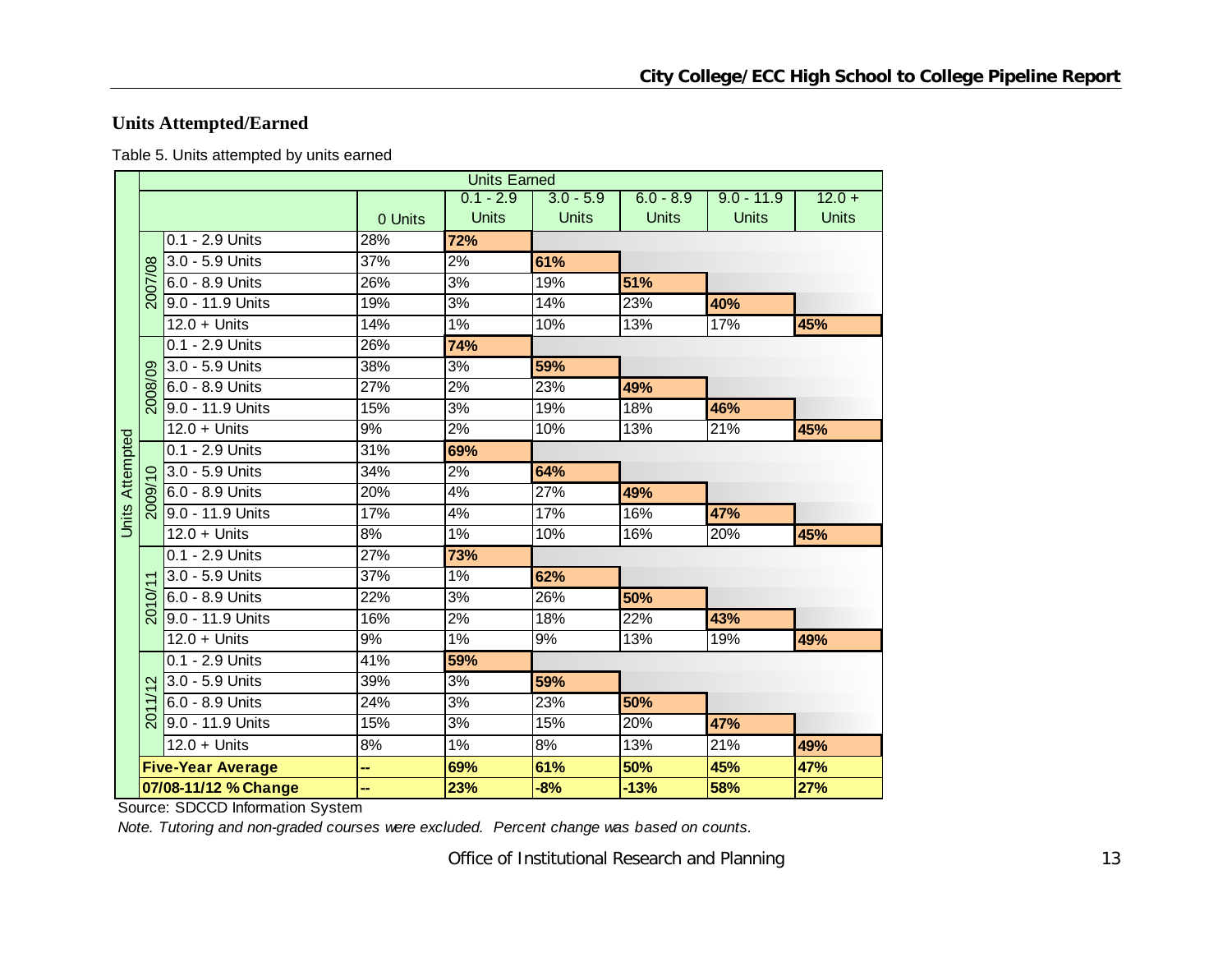## **Units Attempted/Earned**

Table 5. Units attempted by units earned

|                        |                   |                          |         | <b>Units Earned</b> |              |              |              |              |
|------------------------|-------------------|--------------------------|---------|---------------------|--------------|--------------|--------------|--------------|
|                        |                   |                          |         | $0.1 - 2.9$         | $3.0 - 5.9$  | $6.0 - 8.9$  | $9.0 - 11.9$ | $12.0 +$     |
|                        |                   |                          | 0 Units | <b>Units</b>        | <b>Units</b> | <b>Units</b> | <b>Units</b> | <b>Units</b> |
|                        |                   | $0.1 - 2.9$ Units        | 28%     | 72%                 |              |              |              |              |
|                        |                   | 3.0 - 5.9 Units          | 37%     | 2%                  | 61%          |              |              |              |
|                        | 2007/08           | 6.0 - 8.9 Units          | 26%     | 3%                  | 19%          | 51%          |              |              |
|                        |                   | 9.0 - 11.9 Units         | 19%     | 3%                  | 14%          | 23%          | 40%          |              |
|                        |                   | $12.0 +$ Units           | 14%     | 1%                  | 10%          | 13%          | 17%          | 45%          |
|                        |                   | 0.1 - 2.9 Units          | 26%     | 74%                 |              |              |              |              |
|                        |                   | 3.0 - 5.9 Units          | 38%     | 3%                  | 59%          |              |              |              |
|                        | 2008/09           | 6.0 - 8.9 Units          | 27%     | 2%                  | 23%          | 49%          |              |              |
|                        |                   | 9.0 - 11.9 Units         | 15%     | 3%                  | 19%          | 18%          | 46%          |              |
|                        |                   | $12.0 +$ Units           | 9%      | 2%                  | 10%          | 13%          | 21%          | 45%          |
| <b>Units Attempted</b> |                   | 0.1 - 2.9 Units          | 31%     | 69%                 |              |              |              |              |
|                        |                   | 3.0 - 5.9 Units          | 34%     | 2%                  | 64%          |              |              |              |
|                        | ୭                 | 6.0 - 8.9 Units          | 20%     | 4%                  | 27%          | 49%          |              |              |
|                        |                   | 9.0 - 11.9 Units         | 17%     | 4%                  | 17%          | 16%          | 47%          |              |
|                        |                   | $12.0 +$ Units           | 8%      | 1%                  | 10%          | 16%          | 20%          | 45%          |
|                        |                   | 0.1 - 2.9 Units          | 27%     | 73%                 |              |              |              |              |
|                        |                   | 3.0 - 5.9 Units          | 37%     | 1%                  | 62%          |              |              |              |
|                        | $\delta$          | 6.0 - 8.9 Units          | 22%     | $\overline{3\%}$    | 26%          | 50%          |              |              |
|                        | $\overline{5}$    | 9.0 - 11.9 Units         | 16%     | 2%                  | 18%          | 22%          | 43%          |              |
|                        |                   | $12.0 +$ Units           | 9%      | $1\%$               | 9%           | 13%          | 19%          | 49%          |
|                        |                   | 0.1 - 2.9 Units          | 41%     | 59%                 |              |              |              |              |
|                        | $\mathbf{\Omega}$ | 3.0 - 5.9 Units          | 39%     | 3%                  | 59%          |              |              |              |
|                        | $\overline{+}$    | 6.0 - 8.9 Units          | 24%     | 3%                  | 23%          | 50%          |              |              |
|                        | $\overline{201}$  | 9.0 - 11.9 Units         | 15%     | 3%                  | 15%          | 20%          | 47%          |              |
|                        |                   | $12.0 +$ Units           | 8%      | 1%                  | 8%           | 13%          | 21%          | 49%          |
|                        |                   | <b>Five-Year Average</b> | н,      | 69%                 | 61%          | 50%          | 45%          | 47%          |
|                        |                   | 07/08-11/12 % Change     | н,      | 23%                 | $-8%$        | $-13%$       | 58%          | 27%          |

Source: SDCCD Information System

*Note. Tutoring and non-graded courses were excluded. Percent change was based on counts.*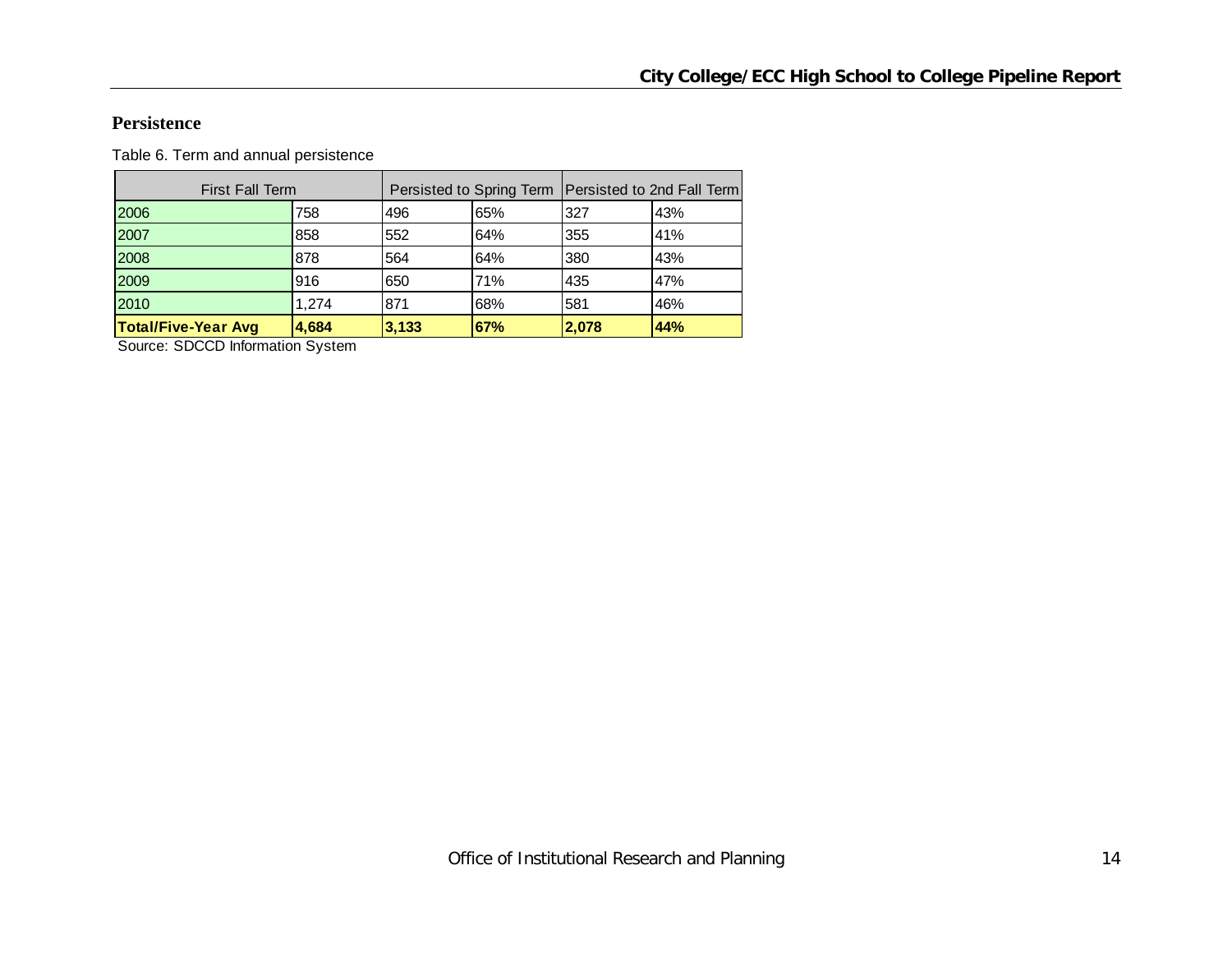#### **Persistence**

Table 6. Term and annual persistence

| <b>First Fall Term</b>     |       |       |     |       | Persisted to Spring Term   Persisted to 2nd Fall Term |
|----------------------------|-------|-------|-----|-------|-------------------------------------------------------|
| 2006                       | 758   | 496   | 65% | 327   | 43%                                                   |
| 2007                       | 858   | 552   | 64% | 355   | 41%                                                   |
| 2008                       | 878   | 564   | 64% | 380   | 43%                                                   |
| 2009                       | 916   | 650   | 71% | 435   | 47%                                                   |
| 2010                       | 1.274 | 871   | 68% | 581   | 46%                                                   |
| <b>Total/Five-Year Avg</b> | 4,684 | 3,133 | 67% | 2,078 | 44%                                                   |

Source: SDCCD Information System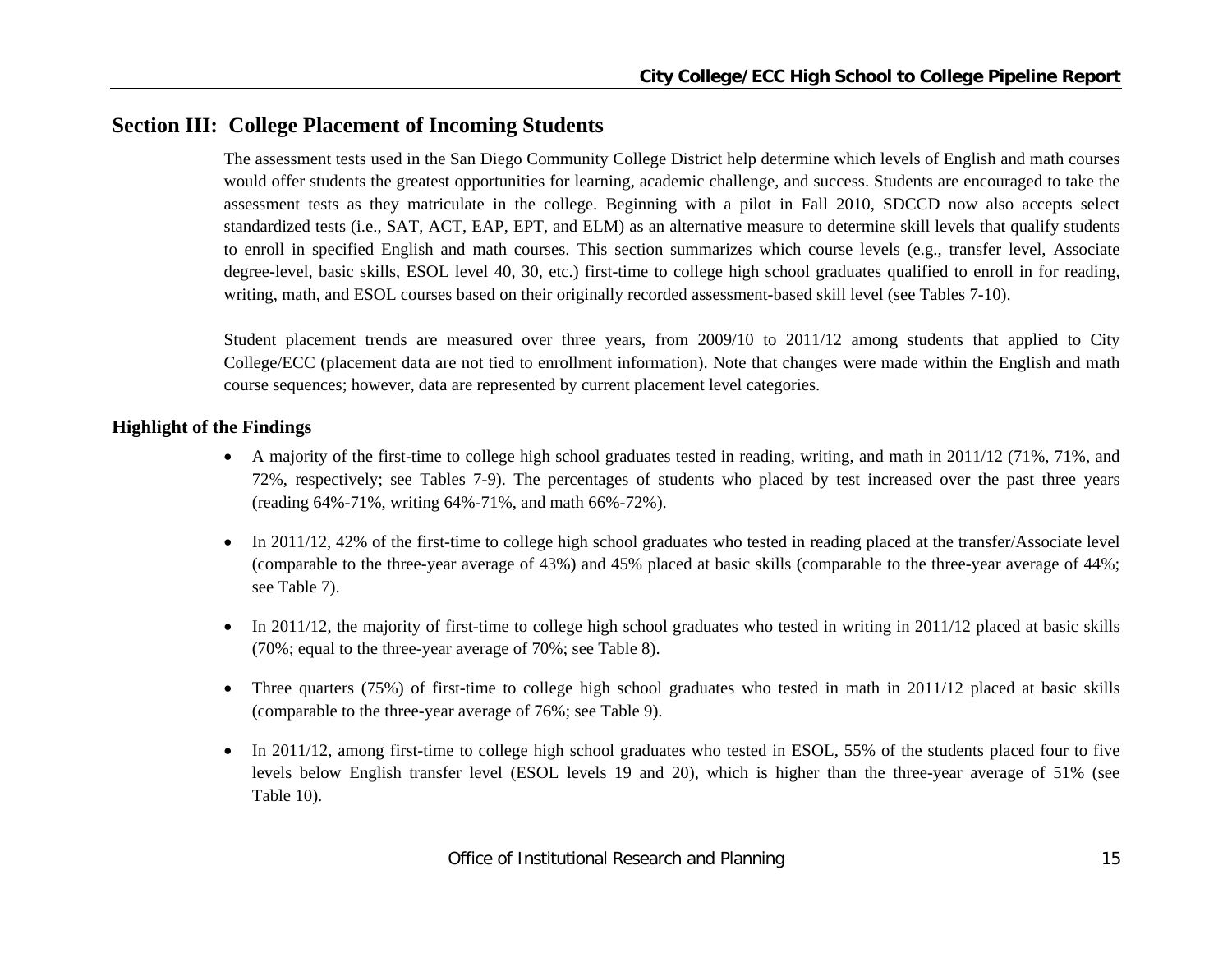## **Section III: College Placement of Incoming Students**

The assessment tests used in the San Diego Community College District help determine which levels of English and math courses would offer students the greatest opportunities for learning, academic challenge, and success. Students are encouraged to take the assessment tests as they matriculate in the college. Beginning with a pilot in Fall 2010, SDCCD now also accepts select standardized tests (i.e., SAT, ACT, EAP, EPT, and ELM) as an alternative measure to determine skill levels that qualify students to enroll in specified English and math courses. This section summarizes which course levels (e.g., transfer level, Associate degree-level, basic skills, ESOL level 40, 30, etc.) first-time to college high school graduates qualified to enroll in for reading, writing, math, and ESOL courses based on their originally recorded assessment-based skill level (see Tables 7-10).

Student placement trends are measured over three years, from 2009/10 to 2011/12 among students that applied to City College/ECC (placement data are not tied to enrollment information). Note that changes were made within the English and math course sequences; however, data are represented by current placement level categories.

#### **Highlight of the Findings**

- A majority of the first-time to college high school graduates tested in reading, writing, and math in 2011/12 (71%, 71%, and 72%, respectively; see Tables 7-9). The percentages of students who placed by test increased over the past three years (reading 64%-71%, writing 64%-71%, and math 66%-72%).
- $\bullet$  In 2011/12, 42% of the first-time to college high school graduates who tested in reading placed at the transfer/Associate level (comparable to the three-year average of 43%) and 45% placed at basic skills (comparable to the three-year average of 44%; see Table 7).
- In 2011/12, the majority of first-time to college high school graduates who tested in writing in 2011/12 placed at basic skills (70%; equal to the three-year average of 70%; see Table 8).
- $\bullet$  Three quarters (75%) of first-time to college high school graduates who tested in math in 2011/12 placed at basic skills (comparable to the three-year average of 76%; see Table 9).
- $\bullet$  In 2011/12, among first-time to college high school graduates who tested in ESOL, 55% of the students placed four to five levels below English transfer level (ESOL levels 19 and 20), which is higher than the three-year average of 51% (see Table 10).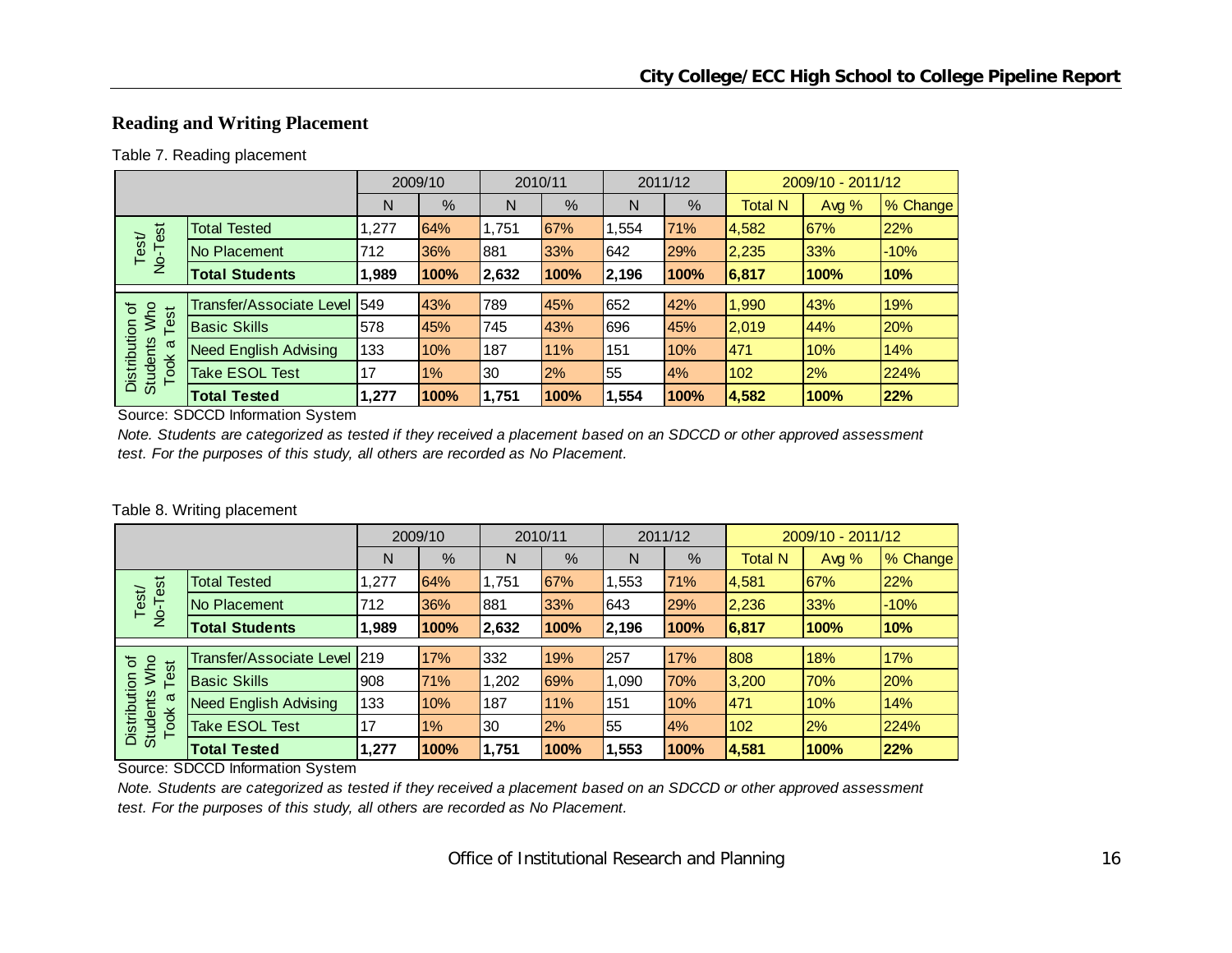## **Reading and Writing Placement**

#### Table 7. Reading placement

|                                         |                                 |       | 2009/10 |       | 2010/11 |       | 2011/12 |                | 2009/10 - 2011/12 |          |
|-----------------------------------------|---------------------------------|-------|---------|-------|---------|-------|---------|----------------|-------------------|----------|
|                                         |                                 | N     | %       | N     | %       | N     | %       | <b>Total N</b> | Avg $%$           | % Change |
| est                                     | <b>Total Tested</b>             | 1,277 | 64%     | 1,751 | 67%     | 1,554 | 71%     | 4,582          | 67%               | 22%      |
| Test<br>$\overline{2}$                  | No Placement                    | 712   | 36%     | 881   | 33%     | 642   | 29%     | 2,235          | 33%               | $-10%$   |
|                                         | <b>Total Students</b>           | 1,989 | 100%    | 2,632 | 100%    | 2,196 | 100%    | 6,817          | 100%              | 10%      |
|                                         |                                 |       |         |       |         |       |         |                |                   |          |
| ৳                                       | <b>Transfer/Associate Level</b> | 549   | 43%     | 789   | 45%     | 652   | 42%     | 1,990          | 43%               | 19%      |
| Who<br>Test                             | <b>Basic Skills</b>             | 578   | 45%     | 745   | 43%     | 696   | 45%     | 2,019          | 44%               | 20%      |
| π                                       | <b>Need English Advising</b>    | 133   | 10%     | 187   | 11%     | 151   | 10%     | 471            | 10%               | 14%      |
| Distribution<br><b>Students</b><br>Took | <b>Take ESOL Test</b>           | 17    | 1%      | 30    | 2%      | 55    | 4%      | 102            | 2%                | 224%     |
|                                         | <b>Total Tested</b>             | 1,277 | 100%    | 1,751 | 100%    | 1,554 | 100%    | 4,582          | 100%              | 22%      |

Source: SDCCD Information System

*Note. Students are categorized as tested if they received a placement based on an SDCCD or other approved assessment test. For the purposes of this study, all others are recorded as No Placement.*

#### Table 8. Writing placement

|                                         |                              |       | 2009/10 | 2010/11 |      |       | 2011/12 |                | 2009/10 - 2011/12 |          |
|-----------------------------------------|------------------------------|-------|---------|---------|------|-------|---------|----------------|-------------------|----------|
|                                         |                              | N     | %       | N       | %    | N     | %       | <b>Total N</b> | Avg %             | % Change |
|                                         | <b>Total Tested</b>          | 1,277 | 64%     | 1.751   | 67%  | 1,553 | 71%     | 4,581          | 67%               | 22%      |
| No-Test<br>Test                         | No Placement                 | 712   | 36%     | 881     | 33%  | 643   | 29%     | 2,236          | 33%               | $-10%$   |
|                                         | <b>Total Students</b>        | 1,989 | 100%    | 2,632   | 100% | 2,196 | 100%    | 6,817          | 100%              | 10%      |
|                                         | Transfer/Associate Level 219 |       | 17%     | 332     | 19%  | 257   | 17%     | 808            | 18%               | 17%      |
| ৳                                       |                              |       |         |         |      |       |         |                |                   |          |
| Who<br>Test                             | <b>Basic Skills</b>          | 908   | 71%     | 1,202   | 69%  | 1,090 | 70%     | 3,200          | 70%               | 20%      |
| σ                                       | <b>Need English Advising</b> | 133   | 10%     | 187     | 11%  | 151   | 10%     | 471            | 10%               | 14%      |
| Distribution<br><b>Students</b><br>Took | Take ESOL Test               | 17    | 1%      | 30      | 2%   | 55    | 4%      | 102            | 2%                | 224%     |
|                                         | <b>Total Tested</b>          | 1,277 | 100%    | 1.751   | 100% | 1,553 | 100%    | 4,581          | 100%              | 22%      |

Source: SDCCD Information System

*Note. Students are categorized as tested if they received a placement based on an SDCCD or other approved assessment test. For the purposes of this study, all others are recorded as No Placement.*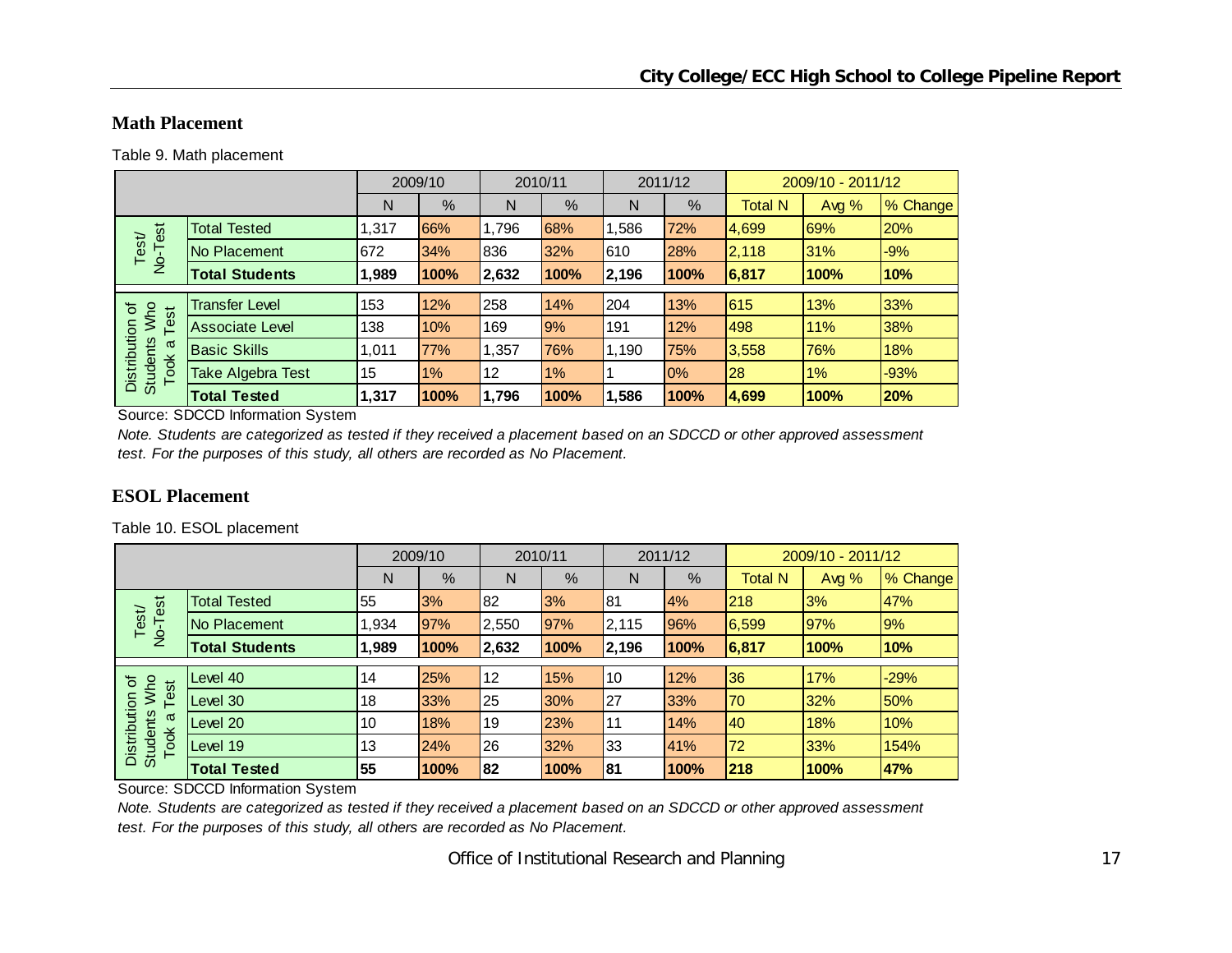## **Math Placement**

Table 9. Math placement

|                                                |                        |       | 2009/10 |       | 2010/11 |       | 2011/12 |                | 2009/10 - 2011/12 |          |
|------------------------------------------------|------------------------|-------|---------|-------|---------|-------|---------|----------------|-------------------|----------|
|                                                |                        | N     | %       | N     | $\%$    | N     | %       | <b>Total N</b> | Avg $%$           | % Change |
| est                                            | <b>Total Tested</b>    | 1,317 | 66%     | 1,796 | 68%     | ,586  | 72%     | 4,699          | 69%               | 20%      |
| Test<br>$\overline{2}$                         | No Placement           | 672   | 34%     | 836   | 32%     | 610   | 28%     | 2,118          | 31%               | $-9%$    |
|                                                | <b>Total Students</b>  | 1,989 | 100%    | 2,632 | 100%    | 2,196 | 100%    | 6,817          | 100%              | 10%      |
|                                                |                        |       |         |       |         |       |         |                |                   |          |
| 'ত<br>est                                      | <b>Transfer Level</b>  | 153   | 12%     | 258   | 14%     | 204   | 13%     | 615            | 13%               | 33%      |
| Who                                            | <b>Associate Level</b> | 138   | 10%     | 169   | 9%      | 191   | 12%     | 498            | 11%               | 38%      |
| ω                                              | <b>Basic Skills</b>    | 1.011 | 77%     | 1,357 | 76%     | 1,190 | 75%     | 3,558          | 76%               | 18%      |
| Distribution<br><b>Students</b><br><b>Took</b> | Take Algebra Test      | 15    | $1\%$   | 12    | 1%      |       | 0%      | 28             | $1\%$             | $-93%$   |
|                                                | <b>Total Tested</b>    | 1,317 | 100%    | 1,796 | 100%    | .586  | 100%    | 4,699          | 100%              | 20%      |

Source: SDCCD Information System

*Note. Students are categorized as tested if they received a placement based on an SDCCD or other approved assessment test. For the purposes of this study, all others are recorded as No Placement.*

## **ESOL Placement**

Table 10. ESOL placement

|                                         |                       |      | 2009/10 | 2010/11 |      |            | 2011/12 |                | 2009/10 - 2011/12 |          |
|-----------------------------------------|-----------------------|------|---------|---------|------|------------|---------|----------------|-------------------|----------|
|                                         |                       | N    | %       | N       | %    | N          | %       | <b>Total N</b> | Avg %             | % Change |
| est                                     | <b>Total Tested</b>   | 55   | 3%      | 82      | 3%   | 81         | 4%      | 218            | 3%                | 47%      |
| Test/<br>$\overline{P}$                 | No Placement          | ,934 | 97%     | 2,550   | 97%  | 2,115      | 96%     | 6,599          | <b>97%</b>        | 9%       |
|                                         | <b>Total Students</b> | .989 | 100%    | 2,632   | 100% | 2,196      | 100%    | 6,817          | 100%              | 10%      |
|                                         |                       |      |         |         |      |            |         |                |                   |          |
| ৳                                       | Level 40              | 14   | 25%     | 12      | 15%  | 10         | 12%     | 36             | 17%               | $-29%$   |
| Who<br>Test                             | Level 30              | 18   | 33%     | 25      | 30%  | 27         | 33%     | 70             | 32%               | 50%      |
| ω                                       | Level 20              | 10   | 18%     | 19      | 23%  | <b>111</b> | 14%     | 40             | 18%               | 10%      |
| Distribution<br><b>Students</b><br>Took | Level 19              | 13   | 24%     | 26      | 32%  | 33         | 41%     | 72             | 33%               | 154%     |
|                                         | <b>Total Tested</b>   | 55   | 100%    | 82      | 100% | 81         | 100%    | 218            | 100%              | 47%      |

Source: SDCCD Information System

*Note. Students are categorized as tested if they received a placement based on an SDCCD or other approved assessment test. For the purposes of this study, all others are recorded as No Placement.*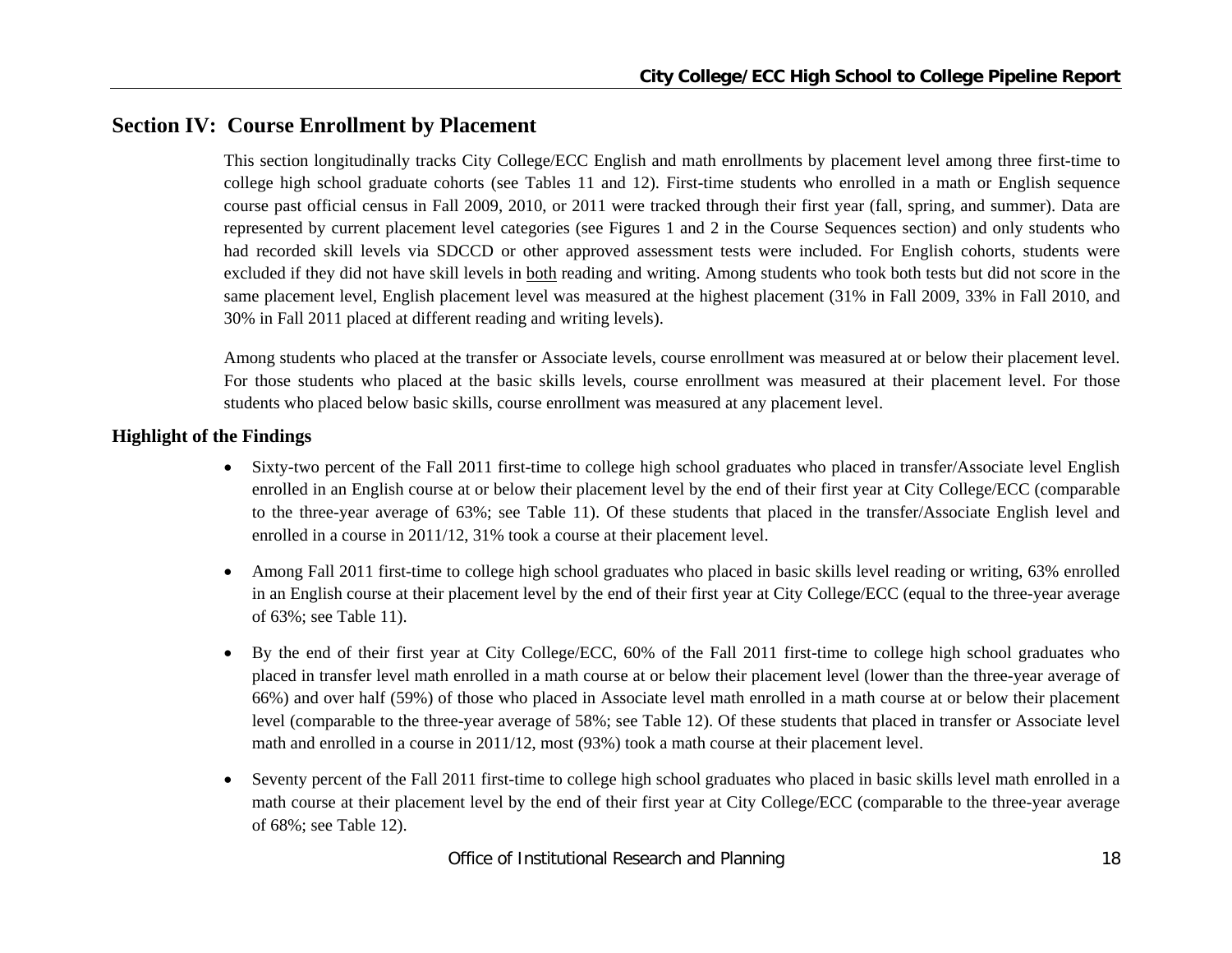## **Section IV: Course Enrollment by Placement**

This section longitudinally tracks City College/ECC English and math enrollments by placement level among three first-time to college high school graduate cohorts (see Tables 11 and 12). First-time students who enrolled in a math or English sequence course past official census in Fall 2009, 2010, or 2011 were tracked through their first year (fall, spring, and summer). Data are represented by current placement level categories (see Figures 1 and 2 in the Course Sequences section) and only students who had recorded skill levels via SDCCD or other approved assessment tests were included. For English cohorts, students were excluded if they did not have skill levels in both reading and writing. Among students who took both tests but did not score in the same placement level, English placement level was measured at the highest placement (31% in Fall 2009, 33% in Fall 2010, and 30% in Fall 2011 placed at different reading and writing levels).

Among students who placed at the transfer or Associate levels, course enrollment was measured at or below their placement level. For those students who placed at the basic skills levels, course enrollment was measured at their placement level. For those students who placed below basic skills, course enrollment was measured at any placement level.

#### **Highlight of the Findings**

- Sixty-two percent of the Fall 2011 first-time to college high school graduates who placed in transfer/Associate level English enrolled in an English course at or below their placement level by the end of their first year at City College/ECC (comparable to the three-year average of 63%; see Table 11). Of these students that placed in the transfer/Associate English level and enrolled in a course in 2011/12, 31% took a course at their placement level.
- e Among Fall 2011 first-time to college high school graduates who placed in basic skills level reading or writing, 63% enrolled in an English course at their placement level by the end of their first year at City College/ECC (equal to the three-year average of 63%; see Table 11).
- $\bullet$  By the end of their first year at City College/ECC, 60% of the Fall 2011 first-time to college high school graduates who placed in transfer level math enrolled in a math course at or below their placement level (lower than the three-year average of 66%) and over half (59%) of those who placed in Associate level math enrolled in a math course at or below their placement level (comparable to the three-year average of 58%; see Table 12). Of these students that placed in transfer or Associate level math and enrolled in a course in 2011/12, most (93%) took a math course at their placement level.
- 0 Seventy percent of the Fall 2011 first-time to college high school graduates who placed in basic skills level math enrolled in a math course at their placement level by the end of their first year at City College/ECC (comparable to the three-year average of 68%; see Table 12).